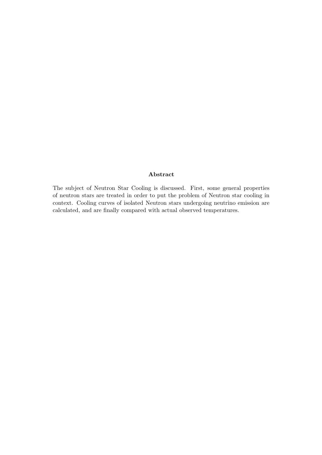## Abstract

The subject of Neutron Star Cooling is discussed. First, some general properties of neutron stars are treated in order to put the problem of Neutron star cooling in context. Cooling curves of isolated Neutron stars undergoing neutrino emission are calculated, and are finally compared with actual observed temperatures.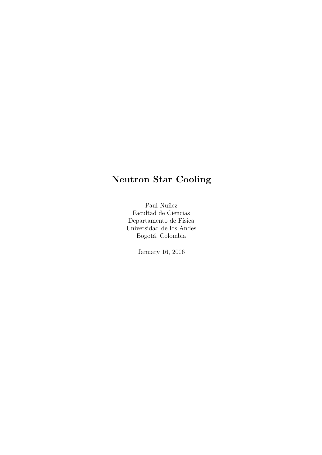# Neutron Star Cooling

Paul Nuñez Facultad de Ciencias Departamento de Física Universidad de los Andes Bogotá, Colombia

January 16, 2006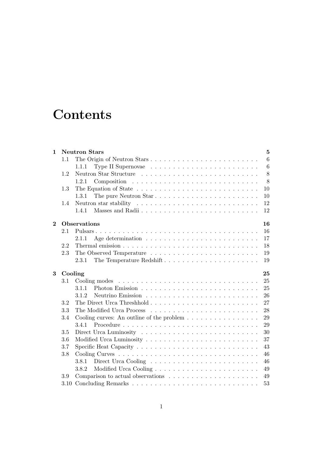# **Contents**

| $\mathbf{1}$ |         | <b>Neutron Stars</b><br>$\overline{5}$                                              |  |
|--------------|---------|-------------------------------------------------------------------------------------|--|
|              | 1.1     | 6<br>The Origin of Neutron Stars                                                    |  |
|              |         | 6<br>1.1.1                                                                          |  |
|              | 1.2     | 8                                                                                   |  |
|              |         | 8<br>1.2.1                                                                          |  |
|              | 1.3     | 10                                                                                  |  |
|              |         | The pure Neutron Star<br>1.3.1<br>10                                                |  |
|              | 1.4     | 12                                                                                  |  |
|              |         | 12<br>1.4.1                                                                         |  |
| $\bf{2}$     |         | <b>Observations</b><br>16                                                           |  |
|              | 2.1     | 16                                                                                  |  |
|              |         | 17<br>2.1.1                                                                         |  |
|              | 2.2     | 18                                                                                  |  |
|              | 2.3     | 19                                                                                  |  |
|              |         | 19<br>2.3.1                                                                         |  |
|              |         |                                                                                     |  |
| 3            | Cooling | 25                                                                                  |  |
|              | 3.1     | 25                                                                                  |  |
|              |         | 25<br>3.1.1                                                                         |  |
|              |         | 26<br>3.1.2                                                                         |  |
|              | 3.2     | 27                                                                                  |  |
|              | 3.3     | 28                                                                                  |  |
|              | 3.4     | Cooling curves: An outline of the problem $\dots \dots \dots \dots \dots$<br>29     |  |
|              |         | 3.4.1<br>29                                                                         |  |
|              | 3.5     | 30                                                                                  |  |
|              | 3.6     | 37                                                                                  |  |
|              | $3.7\,$ | 43                                                                                  |  |
|              | 3.8     | 46                                                                                  |  |
|              |         | 46<br>3.8.1                                                                         |  |
|              |         | 3.8.2<br>49                                                                         |  |
|              | 3.9     | Comparison to actual observations $\dots \dots \dots \dots \dots \dots \dots$<br>49 |  |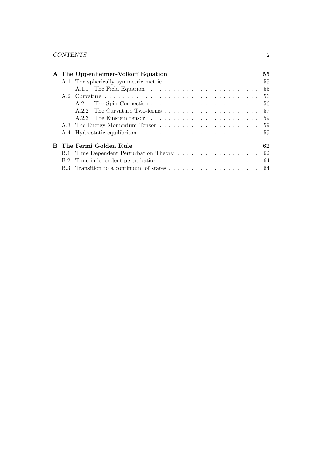|  | A The Oppenheimer-Volkoff Equation | 55 |
|--|------------------------------------|----|
|  |                                    |    |
|  |                                    |    |
|  |                                    |    |
|  |                                    |    |
|  |                                    |    |
|  |                                    |    |
|  |                                    |    |
|  |                                    |    |
|  | <b>B</b> The Fermi Golden Rule     | 62 |
|  |                                    |    |
|  |                                    |    |
|  |                                    |    |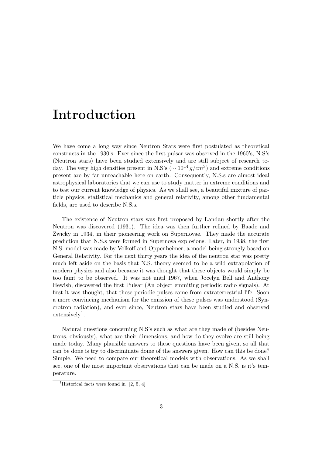# Introduction

We have come a long way since Neutron Stars were first postulated as theoretical constructs in the 1930's. Ever since the first pulsar was observed in the 1960's, N.S's (Neutron stars) have been studied extensively and are still subject of research today. The very high densities present in N.S's ( $\sim 10^{14} g/cm^3$ ) and extreme conditions present are by far unreachable here on earth. Consequently, N.S.s are almost ideal astrophysical laboratories that we can use to study matter in extreme conditions and to test our current knowledge of physics. As we shall see, a beautiful mixture of particle physics, statistical mechanics and general relativity, among other fundamental fields, are used to describe N.S.s.

The existence of Neutron stars was first proposed by Landau shortly after the Neutron was discovered (1931). The idea was then further refined by Baade and Zwicky in 1934, in their pioneering work on Supernovae. They made the accurate prediction that N.S.s were formed in Supernova explosions. Later, in 1938, the first N.S. model was made by Volkoff and Oppenheimer, a model being strongly based on General Relativity. For the next thirty years the idea of the neutron star was pretty much left aside on the basis that N.S. theory seemed to be a wild extrapolation of modern physics and also because it was thought that these objects would simply be too faint to be observed. It was not until 1967, when Jocelyn Bell and Anthony Hewish, discovered the first Pulsar (An object emmiting periodic radio signals). At first it was thought, that these periodic pulses came from extraterrestrial life. Soon a more convincing mechanism for the emission of these pulses was understood (Syncrotron radiation), and ever since, Neutron stars have been studied and observed  $ext{ensively}^1$ .

Natural questions concerning N.S's such as what are they made of (besides Neutrons, obviously), what are their dimensions, and how do they evolve are still being made today. Many plausible answers to these questions have been given, so all that can be done is try to discriminate dome of the answers given. How can this be done? Simple. We need to compare our theoretical models with observations. As we shall see, one of the most important observations that can be made on a N.S. is it's temperature.

<sup>&</sup>lt;sup>1</sup>Historical facts were found in  $[2, 5, 4]$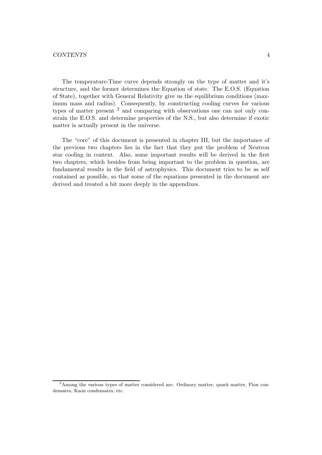The temperature-Time curve depends strongly on the type of matter and it's structure, and the former determines the Equation of state. The E.O.S. (Equation of State), together with General Relativity give us the equilibrium conditions (maximum mass and radius). Consequently, by constructing cooling curves for various types of matter present <sup>2</sup> and comparing with observations one can not only constrain the E.O.S. and determine properties of the N.S., but also determine if exotic matter is actually present in the universe.

The "core" of this document is presented in chapter III, but the importance of the previous two chapters lies in the fact that they put the problem of Neutron star cooling in context. Also, some important results will be derived in the first two chapters, which besides from being important to the problem in question, are fundamental results in the field of astrophysics. This document tries to be as self contained as possible, so that some of the equations presented in the document are derived and treated a bit more deeply in the appendixes.

<sup>2</sup>Among the various types of matter considered are: Ordinary matter, quark matter, Pion condensates, Kaon condensates, etc.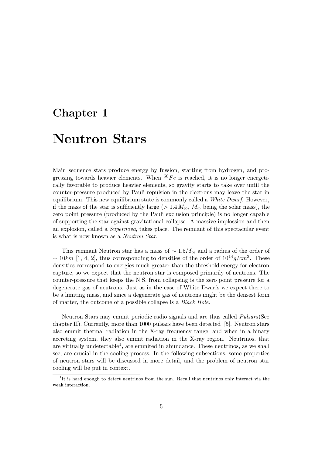# Chapter 1

# Neutron Stars

Main sequence stars produce energy by fussion, starting from hydrogen, and progressing towards heavier elements. When  ${}^{56}Fe$  is reached, it is no longer energetically favorable to produce heavier elements, so gravity starts to take over until the counter-pressure produced by Pauli repulsion in the electrons may leave the star in equilibrium. This new equilibrium state is commonly called a White Dwarf. However, if the mass of the star is sufficiently large ( $> 1.4 M_{\odot}$ ,  $M_{\odot}$  being the solar mass), the zero point pressure (produced by the Pauli exclusion principle) is no longer capable of supporting the star against gravitational collapse. A massive implossion and then an explosion, called a Supernova, takes place. The remnant of this spectacular event is what is now known as a Neutron Star.

This remnant Neutron star has a mass of  $\sim 1.5 M_{\odot}$  and a radius of the order of  $\sim 10km$  [1, 4, 2], thus corresponding to densities of the order of  $10^{14}g/cm^3$ . These densities correspond to energies much greater than the threshold energy for electron capture, so we expect that the neutron star is composed primarily of neutrons. The counter-pressure that keeps the N.S. from collapsing is the zero point pressure for a degenerate gas of neutrons. Just as in the case of White Dwarfs we expect there to be a limiting mass, and since a degenerate gas of neutrons might be the densest form of matter, the outcome of a possible collapse is a Black Hole.

Neutron Stars may emmit periodic radio signals and are thus called Pulsars(See chapter II). Currently, more than 1000 pulsars have been detected [5]. Neutron stars also emmit thermal radiation in the X-ray frequency range, and when in a binary accreting system, they also emmit radiation in the X-ray region. Neutrinos, that are virtually undetectable<sup>1</sup>, are emmited in abundance. These neutrinos, as we shall see, are crucial in the cooling process. In the following subsections, some properties of neutron stars will be discussed in more detail, and the problem of neutron star cooling will be put in context.

<sup>&</sup>lt;sup>1</sup>It is hard enough to detect neutrinos from the sun. Recall that neutrinos only interact via the weak interaction.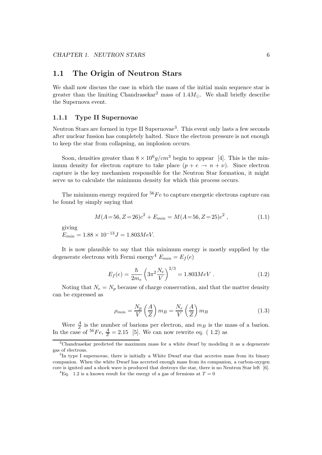# 1.1 The Origin of Neutron Stars

We shall now discuss the case in which the mass of the initial main sequence star is greater than the limiting Chandrasekar<sup>2</sup> mass of  $1.4M_{\odot}$ . We shall briefly describe the Supernova event.

#### 1.1.1 Type II Supernovae

Neutron Stars are formed in type II Supernovae<sup>3</sup>. This event only lasts a few seconds after nuclear fussion has completely halted. Since the electron pressure is not enough to keep the star from collapsing, an implosion occurs.

Soon, densities greater than  $8 \times 10^6 g/cm^3$  begin to appear [4]. This is the minimum density for electron capture to take place  $(p + e \rightarrow n + \nu)$ . Since electron capture is the key mechanism responsible for the Neutron Star formation, it might serve us to calculate the minimum density for which this process occurs.

The minimum energy required for  ${}^{56}Fe$  to capture energetic electrons capture can be found by simply saying that

$$
M(A=56, Z=26)c2 + E_{min} = M(A=56, Z=25)c2,
$$
\n(1.1)

giving

 $E_{min} = 1.88 \times 10^{-13} J = 1.803 MeV.$ 

It is now plausible to say that this minimum energy is mostly supplied by the degenerate electrons with Fermi energy<sup>4</sup>  $E_{min} = E_f(e)$ 

$$
E_f(e) = \frac{\hbar}{2m_e} \left( 3\pi^2 \frac{N_e}{V} \right)^{2/3} = 1.803 MeV . \tag{1.2}
$$

Noting that  $N_e = N_p$  because of charge conservation, and that the matter density can be expressed as

$$
\rho_{min} = \frac{N_p}{V} \left(\frac{A}{Z}\right) m_B = \frac{N_e}{V} \left(\frac{A}{Z}\right) m_B \tag{1.3}
$$

Were  $\frac{A}{Z}$  is the number of barions per electron, and  $m_B$  is the mass of a barion. In the case of <sup>56</sup>Fe,  $\frac{A}{Z} = 2.15$  [5]. We can now rewrite eq. (1.2) as

<sup>2</sup>Chandrasekar predicted the maximum mass for a white dwarf by modeling it as a degenerate gas of electrons.

<sup>&</sup>lt;sup>3</sup>In type I supernovae, there is initially a White Dwarf star that accretes mass from its binary companion. When the white Dwarf has accreted enough mass from its companion, a carbon-oxygen core is ignited and a shock wave is produced that destroys the star, there is no Neutron Star left [6].

<sup>&</sup>lt;sup>4</sup>Eq. 1.2 is a known result for the energy of a gas of fermions at  $T = 0$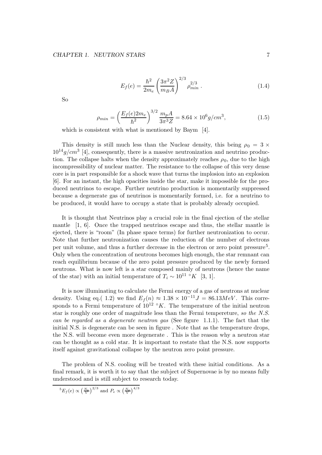$$
E_f(e) = \frac{\hbar^2}{2m_e} \left(\frac{3\pi^2 Z}{m_B A}\right)^{2/3} \rho_{min}^{2/3} . \tag{1.4}
$$

So

$$
\rho_{min} = \left(\frac{E_f(e)2m_e}{\hbar^2}\right)^{3/2} \frac{m_p A}{3\pi^3 Z} = 8.64 \times 10^6 g/cm^3,
$$
\n(1.5)

which is consistent with what is mentioned by Baym [4].

This density is still much less than the Nuclear density, this being  $\rho_0 = 3 \times$  $10^{14} g/cm^3$  [4], consequently, there is a massive neutronization and neutrino production. The collapse halts when the density approximately reaches  $\rho_0$ , due to the high incompressibility of nuclear matter. The resistance to the collapse of this very dense core is in part responsible for a shock wave that turns the implosion into an explosion [6]. For an instant, the high opacities inside the star, make it impossible for the produced neutrinos to escape. Further neutrino production is momentarily suppressed because a degenerate gas of neutrinos is momentarily formed, i.e. for a neutrino to be produced, it would have to occupy a state that is probably already occupied.

It is thought that Neutrinos play a crucial role in the final ejection of the stellar mantle [1, 6]. Once the trapped neutrinos escape and thus, the stellar mantle is ejected, there is "room" (In phase space terms) for further neutronization to occur. Note that further neutronization causes the reduction of the number of electrons per unit volume, and thus a further decrease in the electron or zero point pressure<sup>5</sup>. Only when the concentration of neutrons becomes high enough, the star remnant can reach equilibrium because of the zero point pressure produced by the newly formed neutrons. What is now left is a star composed mainly of neutrons (hence the name of the star) with an initial temperature of  $T_i \sim 10^{11}$  °K [3, 1].

It is now illuminating to calculate the Fermi energy of a gas of neutrons at nuclear density. Using eq.( 1.2) we find  $E_f(n) \approx 1.38 \times 10^{-11} J = 86.13 MeV$ . This corresponds to a Fermi temperature of  $10^{12}$  °K. The temperature of the initial neutron star is roughly one order of magnitude less than the Fermi tempereture, so the N.S. can be regarded as a degenerate neutron gas (See figure 1.1.1). The fact that the initial N.S. is degenerate can be seen in figure . Note that as the temperature drops, the N.S. will become even more degenerate . This is the reason why a neutron star can be thought as a cold star. It is important to restate that the N.S. now supports itself against gravitational collapse by the neutron zero point pressure.

The problem of N.S. cooling will be treated with these initial conditions. As a final remark, it is worth it to say that the subject of Supernovae is by no means fully understood and is still subject to research today.

$$
{}^{5}E_f(e) \propto \left(\frac{N_e}{V}\right)^{2/3}
$$
 and  $P_e \propto \left(\frac{N_e}{V}\right)^{4/3}$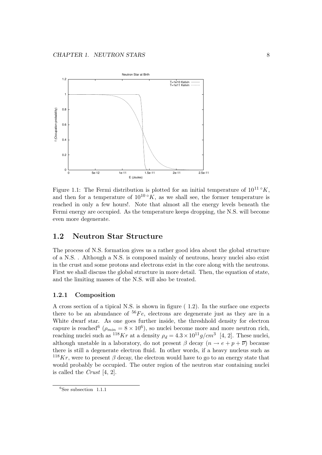

Figure 1.1: The Fermi distribution is plotted for an initial temperature of  $10^{11} °K$ , and then for a temperature of  $10^{10} \circ \hat{K}$ , as we shall see, the former temperature is reached in only a few hours!. Note that almost all the energy levels beneath the Fermi energy are occupied. As the temperature keeps dropping, the N.S. will become even more degenerate.

# 1.2 Neutron Star Structure

The process of N.S. formation gives us a rather good idea about the global structure of a N.S. . Although a N.S. is composed mainly of neutrons, heavy nuclei also exist in the crust and some protons and electrons exist in the core along with the neutrons. First we shall discuss the global structure in more detail. Then, the equation of state, and the limiting masses of the N.S. will also be treated.

#### 1.2.1 Composition

A cross section of a tipical N.S. is shown in figure ( 1.2). In the surface one expects there to be an abundance of  ${}^{56}Fe$ , electrons are degenerate just as they are in a White dwarf star. As one goes further inside, the threshhold density for electron capure is reached<sup>6</sup> ( $\rho_{min} = 8 \times 10^6$ ), so nuclei become more and more neutron rich, reaching nuclei such as  $^{118}Kr$  at a density  $\rho_d = 4.3 \times 10^{11} g/cm^3$  [4, 2]. These nuclei, although unstable in a laboratory, do not present  $\beta$  decay  $(n \to e + p + \overline{\nu})$  because there is still a degenerate electron fluid. In other words, if a heavy nucleus such as  $118$ Kr, were to present  $\beta$  decay, the electron would have to go to an energy state that would probably be occupied. The outer region of the neutron star containing nuclei is called the *Crust*  $[4, 2]$ .

<sup>6</sup>See subsection 1.1.1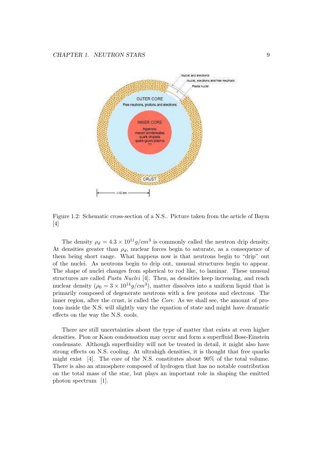

Figure 1.2: Schematic cross-section of a N.S.. Picture taken from the article of Baym [4]

The density  $\rho_d = 4.3 \times 10^{11} g/cm^3$  is commonly called the neutron drip density. At densities greater than  $\rho_d$ , nuclear forces begin to saturate, as a consequence of them being short range. What happens now is that neutrons begin to "drip" out of the nuclei. As neutrons begin to drip out, unusual structures begin to appear. The shape of nuclei changes from spherical to rod like, to laminar. These unusual structures are called *Pasta Nuclei* [4]. Then, as densities keep increasing, and reach nuclear density  $(\rho_0 = 3 \times 10^{14} g/cm^3)$ , matter dissolves into a uniform liquid that is primarily composed of degenerate neutrons with a few protons and electrons. The inner region, after the crust, is called the Core. As we shall see, the amount of protons inside the N.S. will slightly vary the equation of state and might have dramatic effects on the way the N.S. cools.

There are still uncertainties about the type of matter that exists at even higher densities. Pion or Kaon condensation may occur and form a superfluid Bose-Einstein condensate. Although superfluidity will not be treated in detail, it might also have strong effects on N.S. cooling. At ultrahigh densities, it is thought that free quarks might exist [4]. The core of the N.S. constitutes about 90% of the total volume. There is also an atmosphere composed of hydrogen that has no notable contribution on the total mass of the star, but plays an important role in shaping the emitted photon spectrum [1].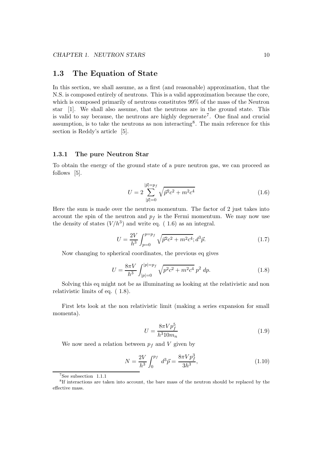## 1.3 The Equation of State

In this section, we shall assume, as a first (and reasonable) approximation, that the N.S. is composed entirely of neutrons. This is a valid approximation because the core, which is composed primarily of neutrons constitutes 99% of the mass of the Neutron star [1]. We shall also assume, that the neutrons are in the ground state. This is valid to say because, the neutrons are highly degenerate<sup>7</sup>. One final and crucial assumption, is to take the neutrons as non interacting<sup>8</sup>. The main reference for this section is Reddy's article [5].

#### 1.3.1 The pure Neutron Star

To obtain the energy of the ground state of a pure neutron gas, we can proceed as follows [5].

$$
U = 2\sum_{|\vec{p}|=0}^{|\vec{p}|=p_f} \sqrt{\vec{p}^2 c^2 + m^2 c^4}
$$
 (1.6)

Here the sum is made over the neutron momentum. The factor of 2 just takes into account the spin of the neutron and  $p_f$  is the Fermi momentum. We may now use the density of states  $(V/h^3)$  and write eq. (1.6) as an integral.

$$
U = \frac{2V}{h^3} \int_{p=0}^{p=p_f} \sqrt{\vec{p}^2 c^2 + m^2 c^4}; d^3 \vec{p}.
$$
 (1.7)

Now changing to spherical coordinates, the previous eq gives

$$
U = \frac{8\pi V}{h^3} \int_{|p|=0}^{|p|=p_f} \sqrt{p^2 c^2 + m^2 c^4} \, p^2 \, dp. \tag{1.8}
$$

Solving this eq might not be as illuminating as looking at the relativistic and non relativistic limits of eq. ( 1.8).

First lets look at the non relativistic limit (making a series expansion for small momenta).

$$
U = \frac{8\pi V p_f^5}{h^3 10m_n} \tag{1.9}
$$

We now need a relation between  $p_f$  and V given by

$$
N = \frac{2V}{h^3} \int_0^{p_f} d^3 \vec{p} = \frac{8\pi V p_f^3}{3h^3},\tag{1.10}
$$

 $\overline{^{7}}\text{See subsection}$  1.1.1

<sup>8</sup> If interactions are taken into account, the bare mass of the neutron should be replaced by the effective mass.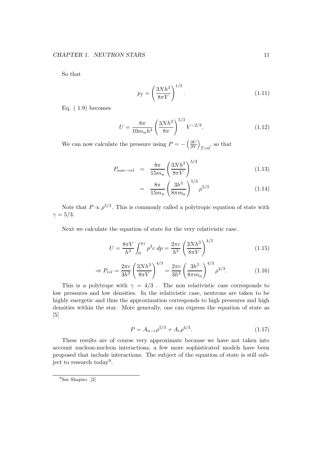So that

$$
p_f = \left(\frac{3Nh^3}{8\pi V}\right)^{1/3}.\tag{1.11}
$$

Eq.  $(1.9)$  becomes

$$
U = \frac{8\pi}{10m_n h^3} \left(\frac{3Nh^3}{8\pi}\right)^{5/3} V^{-2/3}.
$$
 (1.12)

We can now calculate the pressure using  $P = -\left(\frac{\partial U}{\partial V}\right)$ ∂V  $\overline{ }$  $T=0$ <sup>, so that</sup>

$$
P_{non-rel} = \frac{8\pi}{15m_n} \left(\frac{3Nh^3}{8\pi V}\right)^{5/3}
$$
 (1.13)

$$
= \frac{8\pi}{15m_n} \left(\frac{3h^3}{8\pi m_n}\right)^{5/3} \rho^{5/3} \tag{1.14}
$$

Note that  $P \propto \rho^{5/3}$ . This is commonly called a polytropic equation of state with  $\gamma = 5/3$ .

Next we calculate the equation of state for the very relativistic case.

$$
U = \frac{8\pi V}{h^3} \int_0^{p_f} p^3 c \, dp = \frac{2\pi c}{h^3} \left(\frac{3Nh^3}{8\pi V}\right)^{4/3} \tag{1.15}
$$

$$
\Rightarrow P_{rel} = \frac{2\pi c}{3h^3} \left(\frac{3Nh^3}{8\pi V}\right)^{4/3} = \frac{2\pi c}{3h^3} \left(\frac{3h^3}{8\pi m_n}\right)^{4/3} \rho^{4/3}.
$$
 (1.16)

This is a polytrope with  $\gamma = 4/3$ . The non relativistic case corresponds to low pressures and low densities. In the relativistic case, neutrons are taken to be highly energetic and thus the approximation corresponds to high pressures and high densities within the star. More generally, one can express the equation of state as [5]

$$
P = A_{n-r} \rho^{5/3} + A_r \rho^{4/3}.
$$
\n(1.17)

These results are of course very approximate because we have not taken into account nucleon-nucleon interactions, a few more sophisticated models have been proposed that include interactions. The subject of the equation of state is still subject to research today<sup>9</sup>.

<sup>&</sup>lt;sup>9</sup>See Shapiro [2]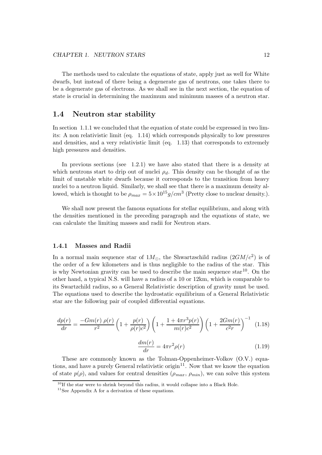The methods used to calculate the equations of state, apply just as well for White dwarfs, but instead of there being a degenerate gas of neutrons, one takes there to be a degenerate gas of electrons. As we shall see in the next section, the equation of state is crucial in determining the maximum and minimum masses of a neutron star.

## 1.4 Neutron star stability

In section 1.1.1 we concluded that the equation of state could be expressed in two limits: A non relativistic limit (eq. 1.14) which corresponds physically to low pressures and densities, and a very relativistic limit (eq. 1.13) that corresponds to extremely high pressures and densities.

In previous sections (see 1.2.1) we have also stated that there is a density at which neutrons start to drip out of nuclei  $\rho_d$ . This density can be thought of as the limit of unstable white dwarfs because it corresponds to the transition from heavy nuclei to a neutron liquid. Similarly, we shall see that there is a maximum density allowed, which is thought to be  $\rho_{max} = 5 \times 10^{15} g/cm^3$  (Pretty close to nuclear density.).

We shall now present the famous equations for stellar equilibrium, and along with the densities mentioned in the preceding paragraph and the equations of state, we can calculate the limiting masses and radii for Neutron stars.

#### 1.4.1 Masses and Radii

In a normal main sequence star of  $1M_{\odot}$ , the Shwartzschild radius  $(2GM/c^2)$  is of the order of a few kilometers and is thus negligible to the radius of the star. This is why Newtonian gravity can be used to describe the main sequence star<sup>10</sup>. On the other hand, a typical N.S. will have a radius of a 10 or 12km, which is comparable to its Swartzchild radius, so a General Relativistic description of gravity must be used. The equations used to describe the hydrostatic equilibrium of a General Relativistic star are the following pair of coupled differential equations.

$$
\frac{dp(r)}{dr} = \frac{-Gm(r) \rho(r)}{r^2} \left(1 + \frac{p(r)}{\rho(r)c^2}\right) \left(1 + \frac{1 + 4\pi r^3 p(r)}{m(r)c^2}\right) \left(1 + \frac{2Gm(r)}{c^2 r}\right)^{-1} (1.18)
$$

$$
\frac{dm(r)}{dr} = 4\pi r^2 \rho(r) \qquad (1.19)
$$

These are commonly known as the Tolman-Oppenheimer-Volkov (O.V.) equations, and have a purely General relativistic origin<sup>11</sup>. Now that we know the equation of state  $p(\rho)$ , and values for central densities  $(\rho_{max}, \rho_{min})$ , we can solve this system

 $10$ If the star were to shrink beyond this radius, it would collapse into a Black Hole.

 $11$ See Appendix A for a derivation of these equations.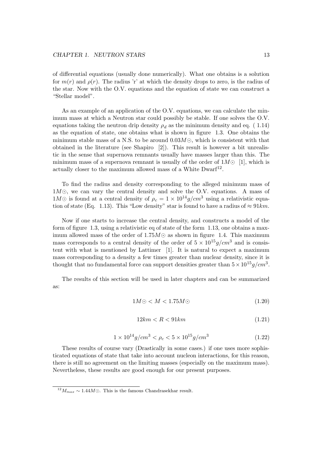of differential equations (usually done numerically). What one obtains is a solution for  $m(r)$  and  $\rho(r)$ . The radius 'r' at which the density drops to zero, is the radius of the star. Now with the O.V. equations and the equation of state we can construct a "Stellar model".

As an example of an application of the O.V. equations, we can calculate the minimum mass at which a Neutron star could possibly be stable. If one solves the O.V. equations taking the neutron drip density  $\rho_d$  as the minimum density and eq. (1.14) as the equation of state, one obtains what is shown in figure 1.3. One obtains the minimum stable mass of a N.S. to be around  $0.03M\odot$ , which is consistent with that obtained in the literature (see Shapiro [2]). This result is however a bit unrealistic in the sense that supernova remnants usually have masses larger than this. The minimum mass of a supernova remnant is usually of the order of  $1M\odot [1]$ , which is actually closer to the maximum allowed mass of a White  $D\text{warf}^{12}$ .

To find the radius and density corresponding to the alleged minimum mass of  $1M\odot$ , we can vary the central density and solve the O.V. equations. A mass of  $1 M \odot$  is found at a central density of  $\rho_c = 1 \times 10^{14} g/cm^3$  using a relativistic equation of state (Eq. 1.13). This "Low density" star is found to have a radius of  $\approx 91km$ .

Now if one starts to increase the central density, and constructs a model of the form of figure 1.3, using a relativistic eq of state of the form 1.13, one obtains a maximum allowed mass of the order of  $1.75M\odot$  as shown in figure 1.4. This maximum mass corresponds to a central density of the order of  $5 \times 10^{15} g/cm^3$  and is consistent with what is mentioned by Lattimer [1]. It is natural to expect a maximum mass corresponding to a density a few times greater than nuclear density, since it is thought that no fundamental force can support densities greater than  $5 \times 10^{15} g/cm^3$ .

The results of this section will be used in later chapters and can be summarized as:

$$
1M\odot < M < 1.75M\odot \tag{1.20}
$$

$$
12km < R < 91km \tag{1.21}
$$

$$
1 \times 10^{14} g/cm^3 < \rho_c < 5 \times 10^{15} g/cm^3
$$
\n(1.22)

These results of course vary (Drastically in some cases.) if one uses more sophisticated equations of state that take into account nucleon interactions, for this reason, there is still no agreement on the limiting masses (especially on the maximum mass). Nevertheless, these results are good enough for our present purposes.

 $\frac{12}{M_{max}}$  ~ 1.44 $M$ ⊙. This is the famous Chandrasekhar result.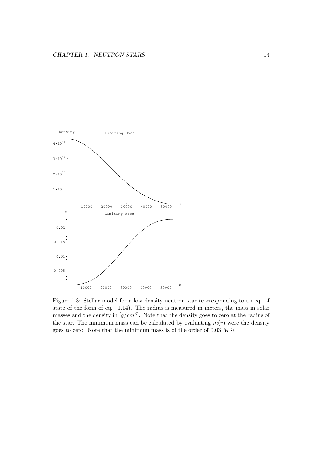

Figure 1.3: Stellar model for a low density neutron star (corresponding to an eq. of state of the form of eq. 1.14). The radius is measured in meters, the mass in solar masses and the density in  $[g/cm^3]$ . Note that the density goes to zero at the radius of the star. The minimum mass can be calculated by evaluating  $m(r)$  were the density goes to zero. Note that the minimum mass is of the order of 0.03  $M\odot$ .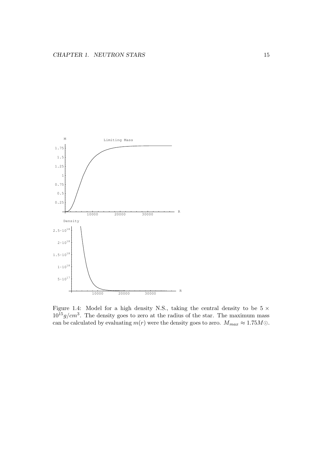

Figure 1.4: Model for a high density N.S., taking the central density to be  $5 \times$  $10^{15} g/cm<sup>3</sup>$ . The density goes to zero at the radius of the star. The maximum mass can be calculated by evaluating  $m(r)$  were the density goes to zero.  $M_{max} \approx 1.75 M \odot$ .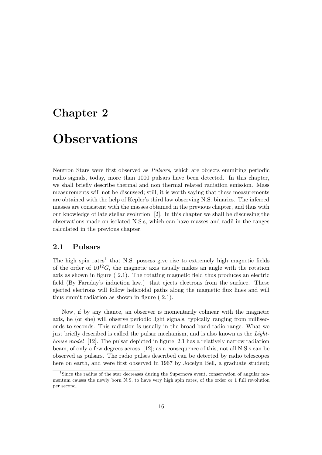# Chapter 2

# **Observations**

Neutron Stars were first observed as Pulsars, which are objects emmiting periodic radio signals, today, more than 1000 pulsars have been detected. In this chapter, we shall briefly describe thermal and non thermal related radiation emission. Mass measurements will not be discussed; still, it is worth saying that these measurements are obtained with the help of Kepler's third law observing N.S. binaries. The inferred masses are consistent with the masses obtained in the previous chapter, and thus with our knowledge of late stellar evolution [2]. In this chapter we shall be discussing the observations made on isolated N.S.s, which can have masses and radii in the ranges calculated in the previous chapter.

# 2.1 Pulsars

The high spin rates<sup>1</sup> that N.S. possess give rise to extremely high magnetic fields of the order of  $10^{12}G$ , the magnetic axis usually makes an angle with the rotation axis as shown in figure ( 2.1). The rotating magnetic field thus produces an electric field (By Faraday's induction law.) that ejects electrons from the surface. These ejected electrons will follow helicoidal paths along the magnetic flux lines and will thus emmit radiation as shown in figure ( 2.1).

Now, if by any chance, an observer is momentarily colinear with the magnetic axis, he (or she) will observe periodic light signals, typically ranging from milliseconds to seconds. This radiation is usually in the broad-band radio range. What we just briefly described is called the pulsar mechanism, and is also known as the Lighthouse model [12]. The pulsar depicted in figure 2.1 has a relatively narrow radiation beam, of only a few degrees across [12]; as a consequence of this, not all N.S.s can be observed as pulsars. The radio pulses described can be detected by radio telescopes here on earth, and were first observed in 1967 by Jocelyn Bell, a graduate student;

<sup>&</sup>lt;sup>1</sup>Since the radius of the star decreases during the Supernova event, conservation of angular momentum causes the newly born N.S. to have very high spin rates, of the order or 1 full revolution per second.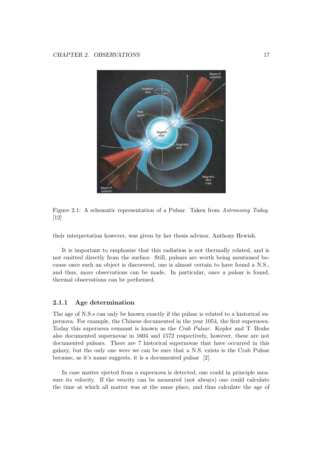

Figure 2.1: A schematic representation of a Pulsar. Taken from Astronomy Today. [12]

their interpretation however, was given by her thesis advisor, Anthony Hewish.

It is important to emphasize that this radiation is not thermally related, and is not emitted directly from the surface. Still, pulsars are worth being mentioned because once such an object is discovered, one is almost certain to have found a N.S., and thus, more observations can be made. In particular, once a pulsar is found, thermal observations can be performed.

#### 2.1.1 Age determination

The age of N.S.s can only be known exactly if the pulsar is related to a historical supernova. For example, the Chinese documented in the year 1054, the first supernova. Today this supernova remnant is known as the Crab Pulsar. Kepler and T. Brahe also documented supernovae in 1604 and 1572 respectively, however, these are not documented pulsars. There are 7 historical supernovae that have occurred in this galaxy, but the only one were we can be sure that a N.S. exists is the Crab Pulsar because, as it's name suggests, it is a documented pulsar [2].

In case matter ejected from a supernova is detected, one could in principle measure its velocity. If the veocity can be measured (not always) one could calculate the time at which all matter was at the same place, and thus calculate the age of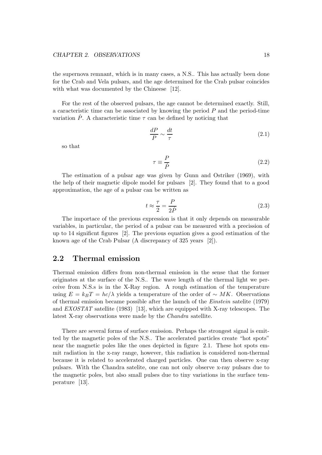the supernova remnant, which is in many cases, a N.S.. This has actually been done for the Crab and Vela pulsars, and the age determined for the Crab pulsar coincides with what was documented by the Chineese [12].

For the rest of the observed pulsars, the age cannot be determined exactly. Still, a caracteristic time can be associated by knowing the period  $P$  and the period-time variation  $\dot{P}$ . A characteristic time  $\tau$  can be defined by noticing that

$$
\frac{dP}{P} \sim \frac{dt}{\tau} \tag{2.1}
$$

so that

$$
\tau \equiv \frac{P}{\dot{P}}\tag{2.2}
$$

The estimation of a pulsar age was given by Gunn and Ostriker (1969), with the help of their magnetic dipole model for pulsars [2]. They found that to a good approximation, the age of a pulsar can be written as

$$
t \approx \frac{\tau}{2} = \frac{P}{2\dot{P}}\tag{2.3}
$$

The importace of the previous expression is that it only depends on measurable variables, in particular, the period of a pulsar can be measured with a precission of up to 14 significnt figures [2]. The previous equation gives a good estimation of the known age of the Crab Pulsar (A discrepancy of 325 years [2]).

# 2.2 Thermal emission

Thermal emission differs from non-thermal emission in the sense that the former originates at the surface of the N.S.. The wave length of the thermal light we perceive from N.S.s is in the X-Ray region. A rough estimation of the temperature using  $E = k_B T = hc/\lambda$  yields a temperature of the order of ~ MK. Observations of thermal emission became possible after the launch of the Einstein satelite (1979) and EXOSTAT satellite (1983) [13], which are equipped with X-ray telescopes. The latest X-ray observations were made by the Chandra satellite.

There are several forms of surface emission. Perhaps the strongest signal is emitted by the magnetic poles of the N.S.. The accelerated particles create "hot spots" near the magnetic poles like the ones depicted in figure 2.1. These hot spots emmit radiation in the x-ray range, however, this radiation is considered non-thermal because it is related to accelerated charged particles. One can then observe x-ray pulsars. With the Chandra satelite, one can not only observe x-ray pulsars due to the magnetic poles, but also small pulses due to tiny variations in the surface temperature [13].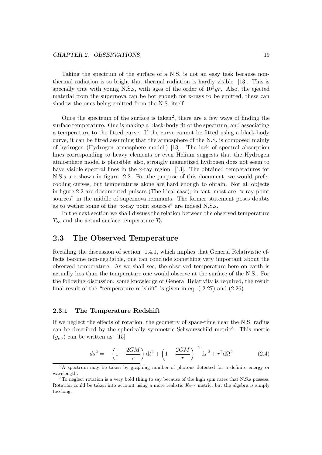Taking the spectrum of the surface of a N.S. is not an easy task because nonthermal radiation is so bright that thermal radiation is hardly visible [13]. This is specially true with young N.S.s, with ages of the order of  $10<sup>3</sup>yr$ . Also, the ejected material from the supernova can be hot enough for x-rays to be emitted, these can shadow the ones being emitted from the N.S. itself.

Once the spectrum of the surface is taken<sup>2</sup>, there are a few ways of finding the surface temperature. One is making a black-body fit of the spectrum, and associating a temperature to the fitted curve. If the curve cannot be fitted using a black-body curve, it can be fitted assuming that the atmosphere of the N.S. is composed mainly of hydrogen (Hydrogen atmosphere model.) [13]. The lack of spectral absorption lines corresponding to heavy elements or even Helium suggests that the Hydrogen atmosphere model is plausible; also, strongly magnetized hydrogen does not seem to have visible spectral lines in the x-ray region [13]. The obtained temperatures for N.S.s are shown in figure 2.2. For the purpose of this document, we would prefer cooling curves, but temperatures alone are hard enough to obtain. Not all objects in figure 2.2 are documented pulsars (The ideal case); in fact, most are "x-ray point sources" in the middle of supernova remnants. The former statement poses doubts as to wether some of the "x-ray point sources" are indeed N.S.s.

In the next section we shall discuss the relation between the observed temperature  $T_{\infty}$  and the actual surface temperature  $T_0$ .

## 2.3 The Observed Temperature

Recalling the discussion of section 1.4.1, which implies that General Relativistic effects become non-negligible, one can conclude something very important about the observed temperature. As we shall see, the observed temperature here on earth is actually less than the temperature one would observe at the surface of the N.S.. For the following discussion, some knowledge of General Relativity is required, the result final result of the "temperature redshift" is given in eq. ( 2.27) and (2.26).

#### 2.3.1 The Temperature Redshift

If we neglect the effects of rotation, the geometry of space-time near the N.S. radius can be described by the spherically symmetric Schwarzschild metric<sup>3</sup>. This mertic  $(g_{\mu\nu})$  can be written as [15]

$$
ds^{2} = -\left(1 - \frac{2GM}{r}\right)dt^{2} + \left(1 - \frac{2GM}{r}\right)^{-1}dr^{2} + r^{2}d\Omega^{2}
$$
 (2.4)

 $2A$  spectrum may be taken by graphing number of photons detected for a definite energy or wavelength.

 $3$ To neglect rotation is a very bold thing to say because of the high spin rates that N.S.s possess. Rotation could be taken into account using a more realistic Kerr metric, but the algebra is simply too long.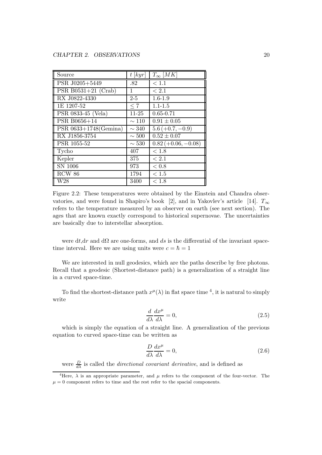| Source                   | $t$ [kyr]  | $T_{\infty}$ [MK]     |
|--------------------------|------------|-----------------------|
| PSR J0205+5449           | .82        | < 1.1                 |
| PSR B0531+21 $(Crab)$    | 1          | < 2.1                 |
| RX J0822-4330            | $2 - 5$    | $1.6 - 1.9$           |
| 1E 1207-52               | < 7        | $1.1 - 1.5$           |
| PSR 0833-45 (Vela)       | $11-25$    | $0.65 - 0.71$         |
| PSR B0656+14             | $\sim$ 110 | $0.91 \pm 0.05$       |
| PSR $0633+1748$ (Gemina) | $\sim$ 340 | $5.6 (+0.7, -0.9)$    |
| RX J1856-3754            | $\sim 500$ | $0.52 \pm 0.07$       |
| PSR 1055-52              | $\sim 530$ | $0.82 (+0.06, -0.08)$ |
| Tycho                    | 407        | $<1.8$                |
| Kepler                   | 375        | < 2.1                 |
| SN 1006                  | 973        | < 0.8                 |
| RCW 86                   | 1794       | < 1.5                 |
| W <sub>28</sub>          | 3400       | < 1.8                 |

Figure 2.2: These temperatures were obtained by the Einstein and Chandra observatories, and were found in Shapiro's book [2], and in Yakovlev's article [14].  $T_{\infty}$ refers to the temperature measured by an observer on earth (see next section). The ages that are known exactly correspond to historical supernovae. The uncertainties are basically due to interstellar absorption.

were dt,dr and d $\Omega$  are one-forms, and ds is the differential of the invariant spacetime interval. Here we are using units were  $c = \hbar = 1$ 

We are interested in null geodesics, which are the paths describe by free photons. Recall that a geodesic (Shortest-distance path) is a generalization of a straight line in a curved space-time.

To find the shortest-distance path  $x^{\mu}(\lambda)$  in flat space time <sup>4</sup>, it is natural to simply write

$$
\frac{d}{d\lambda}\frac{dx^{\mu}}{d\lambda} = 0,\tag{2.5}
$$

which is simply the equation of a straight line. A generalization of the previous equation to curved space-time can be written as

$$
\frac{D}{d\lambda}\frac{dx^{\mu}}{d\lambda} = 0, \qquad (2.6)
$$

were  $\frac{D}{d\lambda}$  is called the *directional covariant derivative*, and is defined as

<sup>&</sup>lt;sup>4</sup>Here,  $\lambda$  is an appropriate parameter, and  $\mu$  refers to the component of the four-vector. The  $\mu = 0$  component refers to time and the rest refer to the spacial components.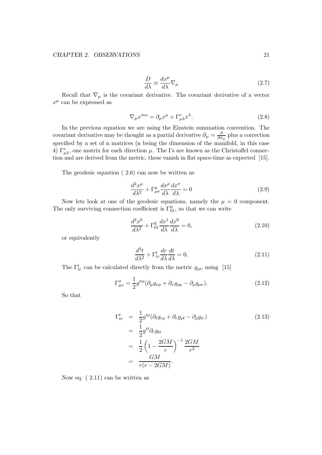$$
\frac{D}{d\lambda} \equiv \frac{dx^{\mu}}{d\lambda} \nabla_{\mu} \tag{2.7}
$$

Recall that  $\nabla_{\mu}$  is the covariant derivative. The covariant derivative of a vector  $x^{\mu}$  can be expressed as

$$
\nabla_{\mu}x^{mu} = \partial_{\mu}x^{\mu} + \Gamma^{\nu}_{\mu\lambda}x^{\lambda}.
$$
 (2.8)

In the previous equation we are using the Einstein summation convention. The covariant derivative may be thought as a partial derivative  $\partial_{\mu} = \frac{\partial}{\partial x}$  $\frac{\partial}{\partial x_{\mu}}$  plus a correction specified by a set of n matrices (n being the dimension of the manifold, in this case 4)  $\Gamma^{\nu}_{\mu\lambda}$ , one matrix for each direction  $\mu$ . The  $\Gamma$ s are known as the Christoffel connection and are derived from the metric, these vanish in flat space-time as expected [15].

The geodesic equation ( 2.6) can now be written as

$$
\frac{d^2x^{\mu}}{d\lambda^2} + \Gamma^{\mu}_{\rho\sigma} \frac{dx^{\rho}}{d\lambda} \frac{dx^{\sigma}}{d\lambda} = 0
$$
\n(2.9)

Now lets look at one of the geodesic equations, namely the  $\mu = 0$  component. The only surviving connection coefficient is  $\Gamma_{01}^0$ , so that we can write

$$
\frac{d^2x^0}{d\lambda^2} + \Gamma^0_{01}\frac{dx^1}{d\lambda}\frac{dx^0}{d\lambda} = 0,
$$
\n(2.10)

or equivalently

$$
\frac{d^2t}{d\lambda^2} + \Gamma^t_{tr} \frac{dr}{d\lambda} \frac{dt}{d\lambda} = 0,
$$
\n(2.11)

The  $\Gamma^t_{tr}$  can be calculated directly from the metric  $g_{\mu\nu}$  using [15]

$$
\Gamma^{\sigma}_{\mu\nu} = \frac{1}{2} g^{\sigma\rho} (\partial_{\mu} g_{\nu\rho} + \partial_{\nu} g_{\rho\mu} - \partial_{\rho} g_{\mu\nu}). \tag{2.12}
$$

So that

$$
\Gamma_{tr}^{t} = \frac{1}{2} g^{t\rho} (\partial_t g_{r\rho} + \partial_r g_{\rho t} - \partial_\rho g_{tr})
$$
\n
$$
= \frac{1}{2} g^{tt} \partial_r g_{tt}
$$
\n
$$
= \frac{1}{2} \left( 1 - \frac{2GM}{r} \right)^{-1} \frac{2GM}{r^2}
$$
\n
$$
= \frac{GM}{r(r - 2GM)}.
$$
\n(2.13)

Now eq. ( 2.11) can be written as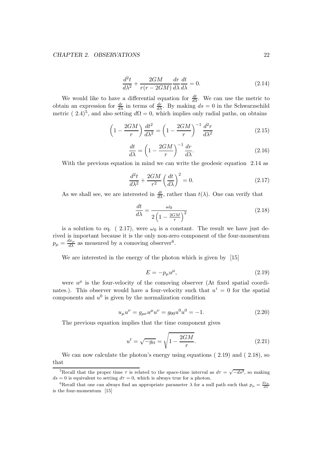$$
\frac{d^2t}{d\lambda^2} + \frac{2GM}{r(r - 2GM)}\frac{dr}{d\lambda}\frac{dt}{d\lambda} = 0.
$$
\n(2.14)

We would like to have a differential equation for  $\frac{dt}{d\lambda}$ . We can use the metric to obtain an expression for  $\frac{dr}{d\lambda}$  in terms of  $\frac{dr}{d\lambda}$ . By making  $ds = 0$  in the Schwarzschild metric ( 2.4)<sup>5</sup>, and also setting  $d\Omega = 0$ , which implies only radial paths, on obtains

$$
\left(1 - \frac{2GM}{r}\right)\frac{dt^2}{d\lambda^2} = \left(1 - \frac{2GM}{r}\right)^{-1}\frac{d^2r}{d\lambda^2}
$$
\n(2.15)

$$
\frac{dt}{d\lambda} = \left(1 - \frac{2GM}{r}\right)^{-1} \frac{dr}{d\lambda}.\tag{2.16}
$$

With the previous equation in mind we can write the geodesic equation 2.14 as

$$
\frac{d^2t}{d\lambda^2} + \frac{2GM}{r^2} \left(\frac{dt}{d\lambda}\right)^2 = 0.
$$
\n(2.17)

As we shall see, we are interested in  $\frac{dt}{d\lambda}$ , rather than  $t(\lambda)$ . One can verify that

$$
\frac{dt}{d\lambda} = \frac{\omega_0}{2\left(1 - \frac{2GM}{r}\right)^2} \tag{2.18}
$$

is a solution to eq. ( 2.17), were  $\omega_0$  is a constant. The result we have just derived is important because it is the only non-zero component of the four-momentum  $p_{\mu} = \frac{dx_{\mu}}{d\lambda}$  as measured by a comoving observer<sup>6</sup>.

We are interested in the energy of the photon which is given by [15]

$$
E = -p_{\mu}u^{\mu},\tag{2.19}
$$

were  $u^{\mu}$  is the four-velocity of the comoving observer (At fixed spatial coordinates.). This observer would have a four-velocity such that  $u^{i} = 0$  for the spatial components and  $u^0$  is given by the normalization condition

$$
u_{\mu}u^{\nu} = g_{\mu\nu}u^{\mu}u^{\nu} = g_{00}u^{0}u^{0} = -1.
$$
\n(2.20)

The previous equation implies that the time component gives

$$
u^{t} = \sqrt{-g_{tt}} = \sqrt{1 - \frac{2GM}{r}}.
$$
\n(2.21)

We can now calculate the photon's energy using equations  $(2.19)$  and  $(2.18)$ , so that

<sup>&</sup>lt;sup>5</sup>Recall that the proper time  $\tau$  is related to the space-time interval as  $d\tau = \sqrt{-ds^2}$ , so making  $ds = 0$  is equivalent to setting  $d\tau = 0$ , which is always true for a photon.

<sup>&</sup>lt;sup>6</sup>Recall that one can always find an appropriate parameter  $\lambda$  for a null path such that  $p_{\mu} = \frac{dx_{\mu}}{d\lambda}$ is the four-momentum [15]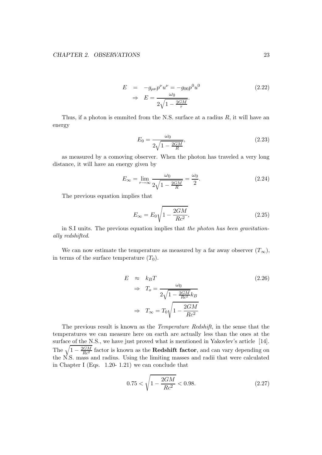$$
E = -g_{\mu\nu}p^{\nu}u^{\nu} = -g_{00}p^{0}u^{0}
$$
  
\n
$$
\Rightarrow E = \frac{\omega_{0}}{2\sqrt{1 - \frac{2GM}{r}}}.
$$
\n(2.22)

Thus, if a photon is emmited from the N.S. surface at a radius  $R$ , it will have an energy

$$
E_0 = \frac{\omega_0}{2\sqrt{1 - \frac{2GM}{R}}},\tag{2.23}
$$

as measured by a comoving observer. When the photon has traveled a very long distance, it will have an energy given by

$$
E_{\infty} = \lim_{r \to \infty} \frac{\omega_0}{2\sqrt{1 - \frac{2GM}{R}}} = \frac{\omega_0}{2}.
$$
\n(2.24)

The previous equation implies that

$$
E_{\infty} = E_0 \sqrt{1 - \frac{2GM}{Rc^2}},\tag{2.25}
$$

in S.I units. The previous equation implies that the photon has been gravitationally redshifted.

We can now estimate the temperature as measured by a far away observer  $(T_{\infty})$ , in terms of the surface temperature  $(T_0)$ .

$$
E \approx k_B T
$$
  
\n
$$
\Rightarrow T_o = \frac{\omega_0}{2\sqrt{1 - \frac{2GM}{Rc^2}}k_B}
$$
  
\n
$$
\Rightarrow T_{\infty} = T_0\sqrt{1 - \frac{2GM}{Rc^2}}
$$
\n(2.26)

The previous result is known as the Temperature Redshift, in the sense that the temperatures we can measure here on earth are actually less than the ones at the surface of the N.S., we have just proved what is mentioned in Yakovlev's article [14]. The  $\sqrt{1-\frac{2GM}{Rc^2}}$  factor is known as the **Redshift factor**, and can vary depending on the N.S. mass and radius. Using the limiting masses and radii that were calculated in Chapter I (Eqs. 1.20- 1.21) we can conclude that

$$
0.75 < \sqrt{1 - \frac{2GM}{Rc^2}} < 0.98. \tag{2.27}
$$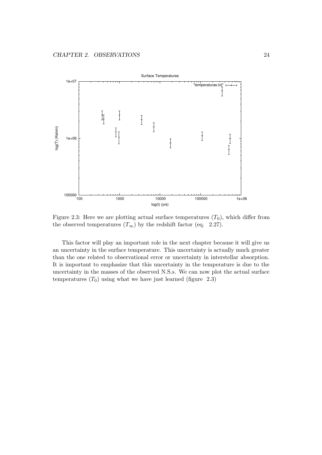

Figure 2.3: Here we are plotting actual surface temperatures  $(T_0)$ , which differ from the observed temperatures  $(T_{\infty})$  by the redshift factor (eq. 2.27).

This factor will play an important role in the next chapter because it will give us an uncertainty in the surface temperature. This uncertainty is actually much greater than the one related to observational error or uncertainty in interstellar absorption. It is important to emphasize that this uncertainty in the temperature is due to the uncertainty in the masses of the observed N.S.s. We can now plot the actual surface temperatures  $(T_0)$  using what we have just learned (figure 2.3)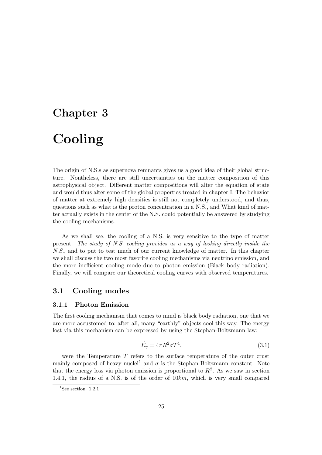# Chapter 3 Cooling

The origin of N.S.s as supernova remnants gives us a good idea of their global structure. Nontheless, there are still uncertainties on the matter composition of this astrophysical object. Different matter compositions will alter the equation of state and would thus alter some of the global properties treated in chapter I. The behavior of matter at extremely high densities is still not completely understood, and thus, questions such as what is the proton concentration in a N.S., and What kind of matter actually exists in the center of the N.S. could potentially be answered by studying the cooling mechanisms.

As we shall see, the cooling of a N.S. is very sensitive to the type of matter present. The study of N.S. cooling provides us a way of looking directly inside the N.S., and to put to test much of our current knowledge of matter. In this chapter we shall discuss the two most favorite cooling mechanisms via neutrino emission, and the more inefficient cooling mode due to photon emission (Black body radiation). Finally, we will compare our theoretical cooling curves with observed temperatures.

# 3.1 Cooling modes

#### 3.1.1 Photon Emission

The first cooling mechanism that comes to mind is black body radiation, one that we are more accustomed to; after all, many "earthly" objects cool this way. The energy lost via this mechanism can be expressed by using the Stephan-Boltzmann law:

$$
\dot{E}_{\gamma} = 4\pi R^2 \sigma T^4,\tag{3.1}
$$

were the Temperature  $T$  refers to the surface temperature of the outer crust mainly composed of heavy nuclei<sup>1</sup> and  $\sigma$  is the Stephan-Boltzmann constant. Note that the energy loss via photon emission is proportional to  $R^2$ . As we saw in section 1.4.1, the radius of a N.S. is of the order of 10km, which is very small compared

 $1$ See section 1.2.1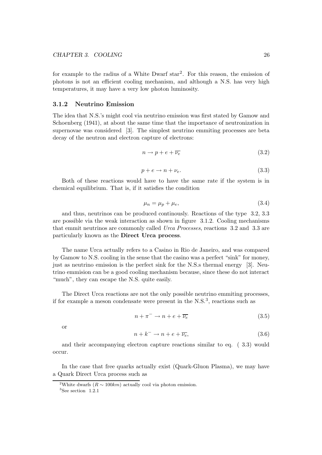for example to the radius of a White Dwarf star<sup>2</sup>. For this reason, the emission of photons is not an efficient cooling mechanism, and although a N.S. has very high temperatures, it may have a very low photon luminosity.

#### 3.1.2 Neutrino Emission

The idea that N.S.'s might cool via neutrino emission was first stated by Gamow and Schoenberg (1941), at about the same time that the importance of neutronization in supernovae was considered [3]. The simplest neutrino emmiting processes are beta decay of the neutron and electron capture of electrons:

$$
n \to p + e + \overline{\nu_e} \tag{3.2}
$$

$$
p + e \to n + \nu_e. \tag{3.3}
$$

Both of these reactions would have to have the same rate if the system is in chemical equilibrium. That is, if it satisfies the condition

$$
\mu_n = \mu_p + \mu_e,\tag{3.4}
$$

and thus, neutrinos can be produced continously. Reactions of the type 3.2, 3.3 are possible via the weak interaction as shown in figure 3.1.2. Cooling mechanisms that emmit neutrinos are commonly called Urca Processes, reactions 3.2 and 3.3 are particularly known as the Direct Urca process.

The name Urca actually refers to a Casino in Rio de Janeiro, and was compared by Gamow to N.S. cooling in the sense that the casino was a perfect "sink" for money, just as neutrino emission is the perfect sink for the N.S.s thermal energy [3]. Neutrino emmision can be a good cooling mechanism because, since these do not interact "much", they can escape the N.S. quite easily.

The Direct Urca reactions are not the only possible neutrino emmiting processes, if for example a meson condensate were present in the  $N.S.^3$ , reactions such as

$$
n + \pi^- \to n + e + \overline{\nu_e} \tag{3.5}
$$

or

$$
n + k^- \to n + e + \overline{\nu_e},\tag{3.6}
$$

and their accompanying electron capture reactions similar to eq. ( 3.3) would occur.

In the case that free quarks actually exist (Quark-Gluon Plasma), we may have a Quark Direct Urca process such as

<sup>&</sup>lt;sup>2</sup>White dwarfs ( $R \sim 100km$ ) actually cool via photon emission.

 ${}^{3}$ See section 1.2.1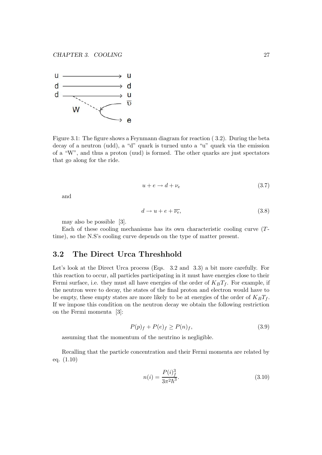

Figure 3.1: The figure shows a Feynmann diagram for reaction ( 3.2). During the beta decay of a neutron (udd), a "d" quark is turned unto a "u" quark via the emission of a "W", and thus a proton (uud) is formed. The other quarks are just spectators that go along for the ride.

$$
u + e \to d + \nu_e \tag{3.7}
$$

and

$$
d \to u + e + \overline{\nu_e},\tag{3.8}
$$

may also be possible [3].

Each of these cooling mechanisms has its own characteristic cooling curve (Ttime), so the N.S's cooling curve depends on the type of matter present.

# 3.2 The Direct Urca Threshhold

Let's look at the Direct Urca process (Eqs. 3.2 and 3.3) a bit more carefully. For this reaction to occur, all particles participating in it must have energies close to their Fermi surface, i.e. they must all have energies of the order of  $K_B T_f$ . For example, if the neutron were to decay, the states of the final proton and electron would have to be empty, these empty states are more likely to be at energies of the order of  $K_B T_f$ . If we impose this condition on the neutron decay we obtain the following restriction on the Fermi momenta [3]:

$$
P(p)_f + P(e)_f \ge P(n)_f,\tag{3.9}
$$

assuming that the momentum of the neutrino is negligible.

Recalling that the particle concentration and their Fermi momenta are related by eq. (1.10)

$$
n(i) = \frac{P(i)_f^3}{3\pi^2 \hbar^3}.
$$
\n(3.10)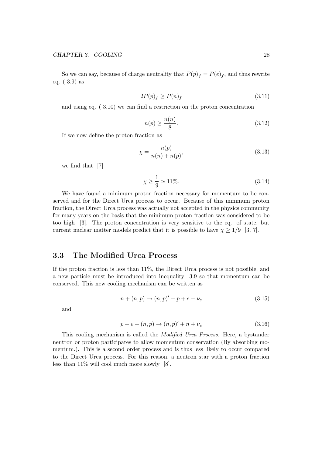So we can say, because of charge neutrality that  $P(p)_f = P(e)_f$ , and thus rewrite eq. ( 3.9) as

$$
2P(p)_f \ge P(n)_f \tag{3.11}
$$

and using eq. ( 3.10) we can find a restriction on the proton concentration

$$
n(p) \ge \frac{n(n)}{8}.\tag{3.12}
$$

If we now define the proton fraction as

$$
\chi = \frac{n(p)}{n(n) + n(p)},\tag{3.13}
$$

we find that [7]

$$
\chi \ge \frac{1}{9} \simeq 11\%.\tag{3.14}
$$

We have found a minimum proton fraction necessary for momentum to be conserved and for the Direct Urca process to occur. Because of this minimum proton fraction, the Direct Urca process was actually not accepted in the physics community for many years on the basis that the minimum proton fraction was considered to be too high [3]. The proton concentration is very sensitive to the eq. of state, but current nuclear matter models predict that it is possible to have  $\chi \geq 1/9$  [3, 7].

### 3.3 The Modified Urca Process

If the proton fraction is less than 11%, the Direct Urca process is not possible, and a new particle must be introduced into inequality 3.9 so that momentum can be conserved. This new cooling mechanism can be written as

$$
n + (n, p) \rightarrow (n, p)' + p + e + \overline{\nu_e}
$$
\n
$$
(3.15)
$$

and

$$
p + e + (n, p) \to (n, p)' + n + \nu_e \tag{3.16}
$$

This cooling mechanism is called the Modified Urca Process. Here, a bystander neutron or proton participates to allow momentum conservation (By absorbing momentum.). This is a second order process and is thus less likely to occur compared to the Direct Urca process. For this reason, a neutron star with a proton fraction less than 11% will cool much more slowly [8].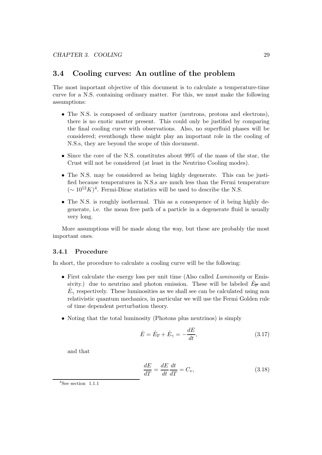# 3.4 Cooling curves: An outline of the problem

The most important objective of this document is to calculate a temperature-time curve for a N.S. containing ordinary matter. For this, we must make the following assumptions:

- The N.S. is composed of ordinary matter (neutrons, protons and electrons), there is no exotic matter present. This could only be justified by comparing the final cooling curve with observations. Also, no superfluid phases will be considered; eventhough these might play an important role in the cooling of N.S.s, they are beyond the scope of this document.
- Since the core of the N.S. constitutes about 99% of the mass of the star, the Crust will not be considered (at least in the Neutrino Cooling modes).
- The N.S. may be considered as being highly degenerate. This can be justified because temperatures in N.S.s are much less than the Fermi temperature  $($  ∼ 10<sup>12</sup>K)<sup>4</sup>. Fermi-Dirac statistics will be used to describe the N.S.
- The N.S. is roughly isothermal. This as a consequence of it being highly degenerate, i.e. the mean free path of a particle in a degenerate fluid is usually very long.

More assumptions will be made along the way, but these are probably the most important ones.

#### 3.4.1 Procedure

In short, the procedure to calculate a cooling curve will be the following:

- First calculate the energy loss per unit time (Also called *Luminosity* or Emissivity.) due to neutrino and photon emission. These will be labeled  $\dot{E}_{\overline{\nu}}$  and  $\dot{E}_{\gamma}$  respectively. These luminosities as we shall see can be calculated using non relativistic quantum mechanics, in particular we will use the Fermi Golden rule of time dependent perturbation theory.
- Noting that the total luminosity (Photons plus neutrinos) is simply

$$
\dot{E} = \dot{E}_{\overline{\nu}} + \dot{E}_{\gamma} = -\frac{dE}{dt},\tag{3.17}
$$

and that

$$
\frac{dE}{dT} = \frac{dE}{dt}\frac{dt}{dT} = C_v,\tag{3.18}
$$

 $4$ See section 1.1.1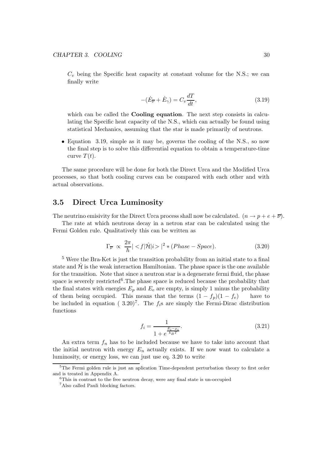$C_v$  being the Specific heat capacity at constant volume for the N.S.; we can finally write

$$
-(\dot{E}_{\overline{\nu}} + \dot{E}_{\gamma}) = C_v \frac{dT}{dt},
$$
\n(3.19)

which can be called the **Cooling equation**. The next step consists in calculating the Specific heat capacity of the N.S., which can actually be found using statistical Mechanics, assuming that the star is made primarily of neutrons.

• Equation 3.19, simple as it may be, governs the cooling of the N.S., so now the final step is to solve this differential equation to obtain a temperature-time curve  $T(t)$ .

The same procedure will be done for both the Direct Urca and the Modified Urca processes, so that both cooling curves can be compared with each other and with actual observations.

## 3.5 Direct Urca Luminosity

The neutrino emisivity for the Direct Urca process shall now be calculated.  $(n \to p + e + \overline{\nu})$ .

The rate at which neutrons decay in a netron star can be calculated using the Fermi Golden rule. Qualitatively this can be written as

$$
\Gamma_{\overline{\nu}} \propto \frac{2\pi}{\hbar} | \langle f | \hat{\mathcal{H}} | i \rangle |^2 * (Phase - Space). \tag{3.20}
$$

<sup>5</sup> Were the Bra-Ket is just the transition probability from an initial state to a final state and  $\mathcal{H}$  is the weak interaction Hamiltonian. The phase space is the one available for the transition. Note that since a neutron star is a degenerate fermi fluid, the phase space is severely restricted<sup>6</sup>. The phase space is reduced because the probability that the final states with energies  $E_p$  and  $E_e$  are empty, is simply 1 minus the probability of them being occupied. This means that the terms  $(1 - f_p)(1 - f_e)$  have to be included in equation (3.20)<sup>7</sup>. The  $f_i$ s are simply the Fermi-Dirac distribution functions

$$
f_i = \frac{1}{1 + e^{\frac{E_i - \mu_i}{k_B T}}}.\tag{3.21}
$$

An extra term  $f_n$  has to be included because we have to take into account that the initial neutron with energy  $E_n$  actually exists. If we now want to calculate a luminosity, or energy loss, we can just use eq. 3.20 to write

<sup>&</sup>lt;sup>5</sup>The Fermi golden rule is just an aplication Time-dependent perturbation theory to first order and is treated in Appendix A.

 ${}^{6}$ This in contrast to the free neutron decay, were any final state is un-occupied

<sup>7</sup>Also called Pauli blocking factors.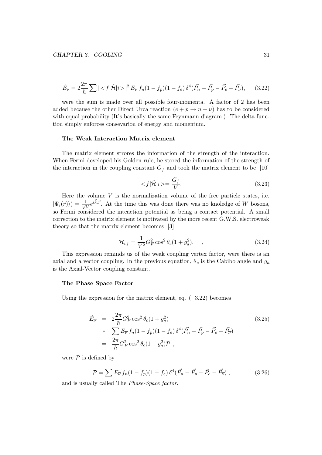$$
\dot{E}_{\overline{\nu}} = 2\frac{2\pi}{\hbar} \sum |\langle f|\hat{\mathcal{H}}|i\rangle|^2 E_{\overline{\nu}} f_n (1 - f_p)(1 - f_e) \,\delta^4(\vec{P}_n - \vec{P}_p - \vec{P}_e - \vec{P}_{\overline{\nu}}), \tag{3.22}
$$

were the sum is made over all possible four-momenta. A factor of 2 has been added because the other Direct Urca reaction  $(e + p \rightarrow n + \overline{\nu})$  has to be considered with equal probability (It's basically the same Feynmann diagram.). The delta function simply enforces consevarion of energy and momentum.

#### The Weak Interaction Matrix element

The matrix element strores the information of the strength of the interaction. When Fermi developed his Golden rule, he stored the information of the strength of the interaction in the coupling constant  $G_f$  and took the matrix element to be [10]

$$
\langle f|\hat{\mathcal{H}}|i\rangle = \frac{G_f}{V}.\tag{3.23}
$$

Here the volume  $V$  is the normalization volume of the free particle states, i.e.  $|\Psi_i(\vec{r})\rangle) = \frac{1}{\sqrt{2}}$  $\frac{1}{V}e^{i\vec{k}\cdot\vec{r}}$ . At the time this was done there was no knoledge of W bosons, so Fermi considered the inteaction potential as being a contact potential. A small correction to the matrix element is motivated by the more recent G.W.S. electroweak theory so that the matrix element becomes [3]

$$
\mathcal{H}_{i f} = \frac{1}{V^2} G_F^2 \cos^2 \theta_c (1 + g_a^2). \tag{3.24}
$$

This expression reminds us of the weak coupling vertex factor, were there is an axial and a vector coupling. In the previous equation,  $\theta_c$  is the Cabibo angle and  $g_a$ is the Axial-Vector coupling constant.

#### The Phase Space Factor

Using the expression for the matrix element, eq. ( 3.22) becomes

$$
\dot{E}_{\overline{\nu}} = 2 \frac{2\pi}{\hbar} G_F^2 \cos^2 \theta_c (1 + g_a^2) \n* \sum E_{\overline{\nu}} f_n (1 - f_p)(1 - f_e) \delta^4 (\vec{P_n} - \vec{P_p} - \vec{P_e} - \vec{P_{\nu}}) \n= \frac{2\pi}{\hbar} G_F^2 \cos^2 \theta_c (1 + g_a^2) \mathcal{P} ,
$$
\n(3.25)

were  $P$  is defined by

$$
\mathcal{P} = \sum E_{\overline{\nu}} f_n (1 - f_p)(1 - f_e) \, \delta^4 (\vec{P}_n - \vec{P}_p - \vec{P}_e - \vec{P}_{\overline{\nu}}) \,, \tag{3.26}
$$

and is usually called The Phase-Space factor.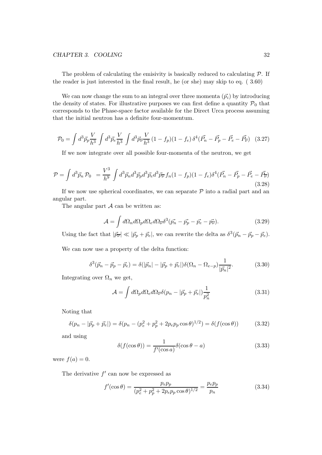The problem of calculating the emisivity is basically reduced to calculating  $\mathcal{P}$ . If the reader is just interested in the final result, he (or she) may skip to eq. ( 3.60)

We can now change the sum to an integral over three momenta  $(\vec{p}_i)$  by introducing the density of states. For illustrative purposes we can first define a quantity  $P_0$  that corresponds to the Phase-space factor available for the Direct Urca process assuming that the initial neutron has a definite four-momentum.

$$
\mathcal{P}_0 = \int d^3 \vec{p}_p \frac{V}{h^3} \int d^3 \vec{p}_e \frac{V}{h^3} \int d^3 \vec{p}_p \frac{V}{h^3} (1 - f_p)(1 - f_e) \delta^4 (\vec{P}_n - \vec{P}_p - \vec{P}_e - \vec{P}_p) \tag{3.27}
$$

If we now integrate over all possible four-momenta of the neutron, we get

$$
\mathcal{P} = \int d^3 \vec{p}_n \, \mathcal{P}_0 = \frac{V^3}{h^9} \int d^3 \vec{p}_n d^3 \vec{p}_p d^3 \vec{p}_e d^3 \vec{p}_r f_n (1 - f_p)(1 - f_e) \delta^4 (\vec{P}_n - \vec{P}_p - \vec{P}_e - \vec{P}_{\overline{\nu}})
$$
(3.28)

If we now use spherical coordinates, we can separate  $P$  into a radial part and an angular part.

The angular part  $A$  can be written as:

$$
\mathcal{A} = \int d\Omega_n d\Omega_p d\Omega_e d\Omega_{\overline{\nu}} \delta^3 (\vec{p_n} - \vec{p_p} - \vec{p_e} - \vec{p_{\overline{\nu}}}). \tag{3.29}
$$

Using the fact that  $|\vec{p}_{\overline{\nu}}| \ll |\vec{p}_p + \vec{p}_e|$ , we can rewrite the delta as  $\delta^3(\vec{p}_n - \vec{p}_p - \vec{p}_e)$ .

We can now use a property of the delta function:

$$
\delta^3(\vec{p}_n - \vec{p}_p - \vec{p}_e) = \delta(|\vec{p}_n| - |\vec{p}_p + \vec{p}_e|)\delta(\Omega_n - \Omega_{e-p})\frac{1}{|\vec{p}_n|^2}.
$$
 (3.30)

Integrating over  $\Omega_n$  we get,

$$
\mathcal{A} = \int d\Omega_p d\Omega_e d\Omega_{\overline{\nu}} \delta(p_n - |\vec{p}_p + \vec{p}_e|) \frac{1}{p_n^2}
$$
(3.31)

Noting that

$$
\delta(p_n - |\vec{p}_p + \vec{p}_e|) = \delta(p_n - (p_e^2 + p_p^2 + 2p_e p_p \cos \theta)^{1/2}) = \delta(f(\cos \theta))
$$
\n(3.32)

and using

$$
\delta(f(\cos \theta)) = \frac{1}{f'(\cos a)} \delta(\cos \theta - a)
$$
\n(3.33)

were  $f(a) = 0$ .

The derivative  $f'$  can now be expressed as

$$
f'(\cos \theta) = \frac{p_e p_p}{(p_e^2 + p_p^2 + 2p_e p_p \cos \theta)^{1/2}} = \frac{p_e p_p}{p_n}
$$
(3.34)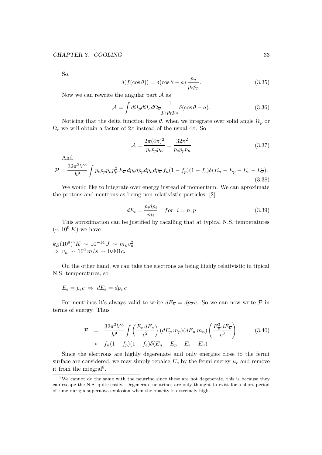So,

$$
\delta(f(\cos \theta)) = \delta(\cos \theta - a) \frac{p_n}{p_e p_p}.
$$
\n(3.35)

Now we can rewrite the angular part  $A$  as

$$
\mathcal{A} = \int d\Omega_p d\Omega_e d\Omega_{\overline{\nu}} \frac{1}{p_e p_p p_n} \delta(\cos \theta - a). \tag{3.36}
$$

Noticing that the delta function fixes  $\theta$ , when we integrate over solid angle  $\Omega_p$  or  $\Omega_e$  we will obtain a factor of  $2\pi$  instead of the usual  $4\pi$ . So

$$
\mathcal{A} = \frac{2\pi (4\pi)^2}{p_e p_p p_n} = \frac{32\pi^2}{p_e p_p p_n} \tag{3.37}
$$

And

$$
\mathcal{P} = \frac{32\pi^2 V^3}{h^9} \int p_e p_p p_n p_{\overline{\nu}}^2 E_{\overline{\nu}} dp_e dp_p dp_n dp_{\overline{\nu}} f_n (1 - f_p)(1 - f_e) \delta(E_n - E_p - E_e - E_{\overline{\nu}}).
$$
\n(3.38)

We would like to integrate over energy instead of momentum. We can aproximate the protons and neutrons as being non relativistic particles [2].

$$
dE_i = \frac{p_i dp_i}{m_i} \quad for \quad i = n, p \tag{3.39}
$$

This aproximation can be justified by racalling that at typical N.S. temperatures  $({\sim 10^9 K})$  we have

 $k_B(10^9)$ °K ~  $10^{-14} J \sim m_n v_n^2$  $\Rightarrow v_n \sim 10^6 \, m/s \sim 0.001c$ .

On the other hand, we can take the electrons as being highly relativistic in tipical N.S. temperatures, so

$$
E_e = p_e c \implies dE_e = dp_e c
$$

For neutrinos it's always valid to write  $dE_{\overline{\nu}} = dp_{\overline{\nu}} c$ . So we can now write  $\mathcal P$  in terms of energy. Thus

$$
\mathcal{P} = \frac{32\pi^3 V^3}{h^9} \int \left( \frac{E_e dE_e}{c^2} \right) (dE_p m_p) (dE_n m_n) \left( \frac{E_p^3 dE_{\overline{\nu}}}{c^3} \right) \tag{3.40}
$$
  
\*  $f_n (1 - f_p) (1 - f_e) \delta(E_n - E_p - E_e - E_{\overline{\nu}})$ 

Since the electrons are highly degerenate and only energies close to the fermi surface are considered, we may simply repalce  $E_e$  by the fermi energy  $\mu_e$  and remove it from the integral<sup>8</sup>.

<sup>8</sup>We cannot do the same with the neutrino since these are not degenerate, this is because they can escape the N.S. quite easily. Degenerate neutrinos are only thought to exist for a short period of time durig a supernova explosion when the opacity is extremely high.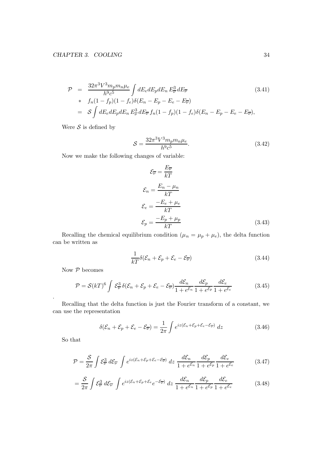$$
\mathcal{P} = \frac{32\pi^3 V^3 m_p m_n \mu_e}{h^9 c^5} \int dE_e dE_p dE_n E_\nu^3 dE_\nu
$$
\n
$$
* f_n (1 - f_p) (1 - f_e) \delta(E_n - E_p - E_e - E_\nu)
$$
\n
$$
= \mathcal{S} \int dE_e dE_p dE_n E_\nu^3 dE_\nu f_n (1 - f_p) (1 - f_e) \delta(E_n - E_p - E_e - E_\nu),
$$
\n(3.41)

Were  $S$  is defined by

$$
S = \frac{32\pi^3 V^3 m_p m_n \mu_e}{h^9 c^5}.
$$
\n(3.42)

Now we make the following changes of variable:

$$
\mathcal{E}_{\overline{\nu}} = \frac{E_{\overline{\nu}}}{kT}
$$
\n
$$
\mathcal{E}_n = \frac{E_n - \mu_n}{kT}
$$
\n
$$
\mathcal{E}_e = \frac{-E_e + \mu_e}{kT}
$$
\n
$$
\mathcal{E}_p = \frac{-E_p + \mu_p}{kT}
$$
\n(3.43)

Recalling the chemical equilibrium condition  $(\mu_n = \mu_p + \mu_e)$ , the delta function can be written as

$$
\frac{1}{kT}\delta(\mathcal{E}_n + \mathcal{E}_p + \mathcal{E}_e - \mathcal{E}_{\overline{\nu}})
$$
\n(3.44)

Now  $P$  becomes

$$
\mathcal{P} = \mathcal{S}(kT)^6 \int \mathcal{E}_{\nu}^3 \delta(\mathcal{E}_n + \mathcal{E}_p + \mathcal{E}_e - \mathcal{E}_{\nu}) \frac{d\mathcal{E}_n}{1 + e^{\mathcal{E}_n}} \frac{d\mathcal{E}_p}{1 + e^{\mathcal{E}_p}} \frac{d\mathcal{E}_e}{1 + e^{\mathcal{E}_e}}
$$
(3.45)

Recalling that the delta function is just the Fourier transform of a constant, we can use the representation

$$
\delta(\mathcal{E}_n + \mathcal{E}_p + \mathcal{E}_e - \mathcal{E}_\nu) = \frac{1}{2\pi} \int e^{iz(\mathcal{E}_n + \mathcal{E}_p + \mathcal{E}_e - \mathcal{E}_\nu)} dz
$$
\n(3.46)

So that

.

$$
\mathcal{P} = \frac{\mathcal{S}}{2\pi} \int \mathcal{E}_{\nu}^{3} d\mathcal{E}_{\nu} \int e^{iz(\mathcal{E}_{n} + \mathcal{E}_{p} + \mathcal{E}_{e} - \mathcal{E}_{\nu})} dz \frac{d\mathcal{E}_{n}}{1 + e^{\mathcal{E}_{n}}} \frac{d\mathcal{E}_{p}}{1 + e^{\mathcal{E}_{p}}} \frac{d\mathcal{E}_{e}}{1 + e^{\mathcal{E}_{e}}} \tag{3.47}
$$

$$
=\frac{\mathcal{S}}{2\pi}\int \mathcal{E}_{\nu}^{3} d\mathcal{E}_{\nu} \int e^{iz(\mathcal{E}_{n}+\mathcal{E}_{p}+\mathcal{E}_{e}}e^{-\mathcal{E}_{\nu}^{-})} dz \frac{d\mathcal{E}_{n}}{1+e^{\mathcal{E}_{n}}}\frac{d\mathcal{E}_{p}}{1+e^{\mathcal{E}_{p}}}\frac{d\mathcal{E}_{e}}{1+e^{\mathcal{E}_{e}}}
$$
(3.48)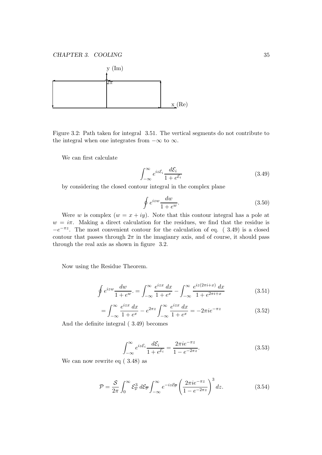

Figure 3.2: Path taken for integral 3.51. The vertical segments do not contribute to the integral when one integrates from  $-\infty$  to  $\infty$ .

We can first calculate

$$
\int_{-\infty}^{\infty} e^{iz\mathcal{E}_i} \frac{d\mathcal{E}_i}{1 + e^{\mathcal{E}_i}} \tag{3.49}
$$

by considering the closed contour integral in the complex plane

$$
\oint e^{izw} \frac{dw}{1 + e^w}.\tag{3.50}
$$

Were w is complex  $(w = x + iy)$ . Note that this contour integral has a pole at  $w = i\pi$ . Making a direct calculation for the residues, we find that the residue is  $-e^{-\pi z}$ . The most convenient contour for the calculation of eq. (3.49) is a closed contour that passes through  $2\pi$  in the imagianry axis, and of course, it should pass through the real axis as shown in figure 3.2.

Now using the Residue Theorem.

$$
\oint e^{izw} \frac{dw}{1 + e^w} = \int_{-\infty}^{\infty} \frac{e^{izx} dx}{1 + e^x} - \int_{-\infty}^{\infty} \frac{e^{iz(2\pi i + x)} dx}{1 + e^{2\pi i + x}} \tag{3.51}
$$

$$
= \int_{-\infty}^{\infty} \frac{e^{izx} dx}{1 + e^x} - e^{2\pi z} \int_{-\infty}^{\infty} \frac{e^{izx} dx}{1 + e^x} = -2\pi i e^{-\pi z}
$$
(3.52)

And the definite integral ( 3.49) becomes

$$
\int_{-\infty}^{\infty} e^{iz\mathcal{E}_i} \frac{d\mathcal{E}_i}{1 + e^{\mathcal{E}_i}} = \frac{2\pi i e^{-\pi z}}{1 - e^{-2\pi z}}.
$$
\n(3.53)

We can now rewrite eq ( 3.48) as

$$
\mathcal{P} = \frac{\mathcal{S}}{2\pi} \int_0^\infty \mathcal{E}_{\overline{\nu}}^3 d\mathcal{E}_{\overline{\nu}} \int_{-\infty}^\infty e^{-iz\mathcal{E}_{\overline{\nu}}} \left( \frac{2\pi i e^{-\pi z}}{1 - e^{-2\pi z}} \right)^3 dz.
$$
 (3.54)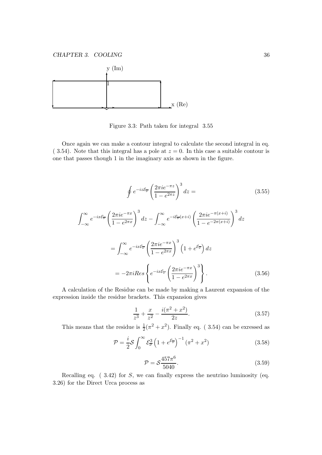

Figure 3.3: Path taken for integral 3.55

Once again we can make a contour integral to calculate the second integral in eq.  $(3.54)$ . Note that this integral has a pole at  $z = 0$ . In this case a suitable contour is one that passes though 1 in the imaginary axis as shown in the figure.

$$
\oint e^{-iz\mathcal{E}_{\overline{\nu}}} \left( \frac{2\pi i e^{-\pi z}}{1 - e^{2\pi z}} \right)^3 dz =
$$
\n
$$
\int_{-\infty}^{\infty} e^{-ix\mathcal{E}_{\overline{\nu}}} \left( \frac{2\pi i e^{-\pi x}}{1 - e^{2\pi x}} \right)^3 dz - \int_{-\infty}^{\infty} e^{-i\mathcal{E}_{\overline{\nu}}(x+i)} \left( \frac{2\pi i e^{-\pi (x+i)}}{1 - e^{-2\pi (x+i)}} \right)^3 dz
$$
\n
$$
= \int_{-\infty}^{\infty} e^{-ix\mathcal{E}_{\overline{\nu}}} \left( \frac{2\pi i e^{-\pi x}}{1 - e^{2\pi x}} \right)^3 \left( 1 + e^{\mathcal{E}_{\overline{\nu}}} \right) dz
$$
\n
$$
= -2\pi i \text{Res} \left\{ e^{-ix\mathcal{E}_{\overline{\nu}}} \left( \frac{2\pi i e^{-\pi x}}{1 - e^{2\pi x}} \right)^3 \right\}.
$$
\n(3.56)

A calculation of the Residue can be made by making a Laurent expansion of the expression inside the residue brackets. This expansion gives

$$
\frac{1}{z^3} + \frac{x}{z^2} - \frac{i(\pi^2 + x^2)}{2z}.
$$
 (3.57)

This means that the residue is  $\frac{1}{2}(\pi^2 + x^2)$ . Finally eq. (3.54) can be exressed as

$$
\mathcal{P} = \frac{i}{2} \mathcal{S} \int_0^\infty \mathcal{E}_\nu^3 \left( 1 + e^{\mathcal{E}_\nu} \right)^{-1} \left( \pi^2 + x^2 \right) \tag{3.58}
$$

$$
\mathcal{P} = \mathcal{S} \frac{457\pi^6}{5040}.
$$
\n(3.59)

Recalling eq. (3.42) for S, we can finally express the neutrino luminosity (eq. 3.26) for the Direct Urca process as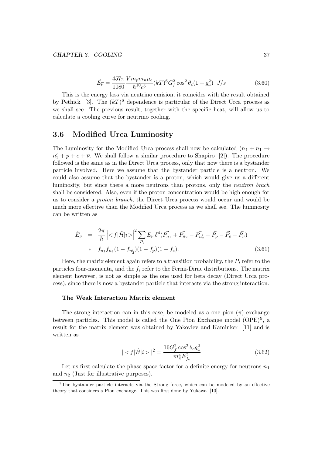$$
\dot{E}_{\overline{\nu}} = \frac{457\pi}{1080} \frac{V m_p m_n \mu_e}{\hbar^{10} c^5} (kT)^6 G_f^2 \cos^2 \theta_c (1 + g_a^2) \ J/s \tag{3.60}
$$

This is the energy loss via neutrino emision, it coincides with the result obtained by Pethick [3]. The  $(kT)^6$  dependence is particular of the Direct Urca process as we shall see. The previous result, together with the specific heat, will allow us to calculate a cooling curve for neutrino cooling.

## 3.6 Modified Urca Luminosity

The Luminosity for the Modified Urca process shall now be calculated  $(n_1 + n_1 \rightarrow$  $n'_2 + p + e + \overline{\nu}$ . We shall follow a similar procedure to Shapiro [2]). The procedure followed is the same as in the Direct Urca process, only that now there is a bystander particle involved. Here we assume that the bystander particle is a neutron. We could also assume that the bystander is a proton, which would give us a different luminosity, but since there a more neutrons than protons, only the neutron brach shall be considered. Also, even if the proton concentration would be high enough for us to consider a proton branch, the Direct Urca process would occur and would be much more effective than the Modified Urca process as we shall see. The luminosity can be written as

$$
\dot{E}_{\overline{\nu}} = \frac{2\pi}{\hbar} \left| \langle f | \hat{\mathcal{H}} | i \rangle \right|^2 \sum_{P_i} E_{\overline{\nu}} \, \delta^4(P_{n_1}^{\vec{}} + P_{n_2}^{\vec{}} - P_{n_2}^{\vec{}} - P_p^{\vec{}} - P_{\overline{e}}^{\vec{}} - P_{\overline{\nu}}^{\vec{}})
$$
\n
$$
\ast \quad f_{n_1} f_{n_2} (1 - f_{n_2}^{\prime}) (1 - f_p) (1 - f_e). \tag{3.61}
$$

Here, the matrix element again refers to a transition probability, the  $P_i$  refer to the particles four-momenta, and the  $f_i$  refer to the Fermi-Dirac distributions. The matrix element however, is not as simple as the one used for beta decay (Direct Urca process), since there is now a bystander particle that interacts via the strong interaction.

#### The Weak Interaction Matrix element

The strong interaction can in this case, be modeled as a one pion  $(\pi)$  exchange between particles. This model is called the One Pion Exchange model  $(OPE)^9$ , a result for the matrix element was obtained by Yakovlev and Kaminker [11] and is written as

$$
||^2 = \frac{16G_f^2 \cos^2 \theta_c g_a^2}{m_\pi^4 E_{fe}^2} \tag{3.62}
$$

Let us first calculate the phase space factor for a definite energy for neutrons  $n_1$ and  $n_2$  (Just for illustrative purposes).

<sup>&</sup>lt;sup>9</sup>The bystander particle interacts via the Strong force, which can be modeled by an effective theory that considers a Pion exchange. This was first done by Yukawa [10].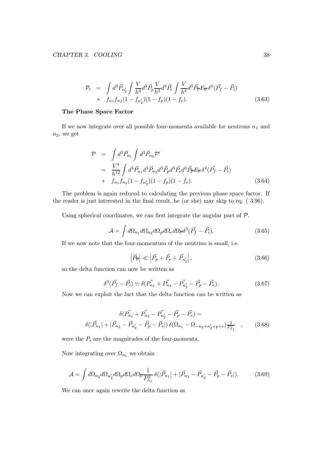$$
\mathcal{P}_{\prime} = \int d^{3} \vec{P}_{n'_{2}} \int \frac{V}{h^{3}} d^{3} \vec{P}_{p} \frac{V}{h^{3}} d^{3} \vec{P}_{e} \int \frac{V}{h^{3}} d^{3} \vec{P}_{\overline{\nu}} E_{\overline{\nu}} \delta^{4} (\vec{P}_{f} - \vec{P}_{i})
$$
  
\n\*  $f_{n_{1}} f_{n_{2}} (1 - f_{n'_{2}}) (1 - f_{p}) (1 - f_{e}).$  (3.63)

#### The Phase Space Factor

If we now integrate over all possible four-momenta available for neutrons  $\boldsymbol{n}_1$  and  $n_2$ , we get

$$
\mathcal{P} = \int d^3 \vec{P}_{n_1} \int d^3 \vec{P}_{n_2} \mathcal{P}'
$$
  
\n
$$
= \frac{V^4}{h^{12}} \int d^3 \vec{P}_{n_1} d^3 \vec{P}_{n_2} d^3 \vec{P}_p d^3 \vec{P}_e d^3 \vec{P}_r E_{\overline{\nu}} \delta^4 (\vec{P}_f - \vec{P}_i)
$$
  
\n\*  $f_{n_1} f_{n_2} (1 - f_{n'_2}) (1 - f_p) (1 - f_e).$  (3.64)

The problem is again reduced to calculating the previous phase space factor. If the reader is just interested in the final result, he (or she) may skip to eq. ( 3.96).

Using spherical coordinates, we can first integrate the angular part of  $P$ .

$$
\mathcal{A} = \int d\Omega_{n_1} d\Omega_{n_2} d\Omega_p d\Omega_e d\Omega_{\overline{\nu}} \delta^3 (\vec{P_f} - \vec{P_i}). \tag{3.65}
$$

If we now note that the four-momentum of the neutrino is small, i.e.

$$
\left|\vec{P}_{\overline{\nu}}\right| \ll \left|\vec{P}_p + \vec{P}_e + \vec{P}_{n'_2}\right|,\tag{3.66}
$$

so the delta function can now be written as

$$
\delta^3(\vec{P_f} - \vec{P_i}) \simeq \delta(\vec{P_{n_1}} + \vec{P_{n_2}} - \vec{P_{n_2}} - \vec{P_p} - \vec{P_e}). \tag{3.67}
$$

Now we can exploit the fact that the delta function can be written as

$$
\delta(\vec{P_{n_1}} + \vec{P_{n_2}} - \vec{P_{n'_2}} - \vec{P_p} - \vec{P_e}) =
$$
  

$$
\delta(|\vec{P}_{n_1}| + |\vec{P}_{n_2} - \vec{P}_{n'_2} - \vec{P_p} - \vec{P_e}|) \delta(\Omega_{n_1} - \Omega_{-n_2 + n'_2 + p + e}) \frac{1}{P_{n_1}^2} , \qquad (3.68)
$$

were the  $P_i$  are the magnitudes of the four-momenta.

Now integrating over  $\Omega_{n_1}$  we obtain

$$
\mathcal{A} = \int d\Omega_{n_2} d\Omega_{n'_2} d\Omega_p d\Omega_e d\Omega_{\overline{\nu}} \frac{1}{P_{n_1}^2} \delta(|\vec{P}_{n_1}| + |\vec{P}_{n_2} - \vec{P}_{n'_2} - \vec{P}_p - \vec{P}_e|). \tag{3.69}
$$

We can once again rewrite the delta function as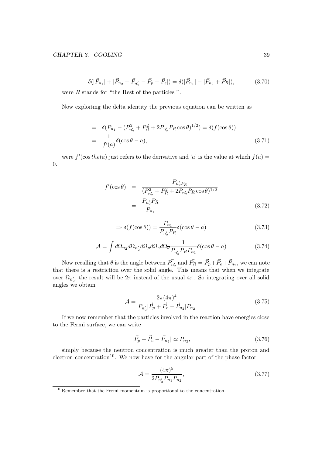#### CHAPTER 3. COOLING 39

$$
\delta(|\vec{P}_{n_1}| + |\vec{P}_{n_2} - \vec{P}_{n'_2} - \vec{P}_p - \vec{P}_e|) = \delta(|\vec{P}_{n_1}| - |\vec{P}_{n_2} + \vec{P}_R|),
$$
(3.70)

were R stands for "the Rest of the particles ".

Now exploiting the delta identity the previous equation can be written as

$$
= \delta(P_{n_1} - (P_{n'_2}^2 + P_R^2 + 2P_{n'_2}P_R\cos\theta)^{1/2}) = \delta(f(\cos\theta))
$$
  

$$
= \frac{1}{f'(a)}\delta(\cos\theta - a),
$$
 (3.71)

were  $f'(\cos theta)$  just refers to the derivative and 'a' is the value at which  $f(a)$  = 0.

$$
f'(\cos \theta) = \frac{P_{n'_2 P_R}}{(P_{n'_2}^2 + P_R^2 + 2P_{n'_2} P_R \cos \theta)^{1/2}}
$$

$$
= \frac{P_{n'_2} P_R}{P_{n_1}}
$$
(3.72)

$$
\Rightarrow \delta(f(\cos \theta)) = \frac{P_{n_1}}{P_{n'_2} P_R} \delta(\cos \theta - a)
$$
\n(3.73)

$$
\mathcal{A} = \int d\Omega_{n_2} d\Omega_{n'_2} d\Omega_p d\Omega_e d\Omega_{\overline{\nu}} \frac{1}{P_{n'_2} P_R P_{n_1}} \delta(\cos \theta - a) \tag{3.74}
$$

Now recalling that  $\theta$  is the angle between  $\vec{P_{n'_2}}$  and  $\vec{P_R} = \vec{P_p} + \vec{P_e} + \vec{P_{n_2}}$ , we can note that there is a restriction over the solid angle. This means that when we integrate over  $\Omega_{n'_2}$ , the result will be  $2\pi$  instead of the usual  $4\pi$ . So integrating over all solid angles we obtain

$$
\mathcal{A} = \frac{2\pi (4\pi)^4}{P_{n'_2}|\vec{P}_p + \vec{P}_e - \vec{P}_{n_2}|P_{n_2}}.
$$
\n(3.75)

If we now remember that the particles involved in the reaction have energies close to the Fermi surface, we can write

$$
|\vec{P}_p + \vec{P}_e - \vec{P}_{n_2}| \simeq P_{n_2},\tag{3.76}
$$

simply because the neutron concentration is much greater than the proton and electron concentration<sup>10</sup>. We now have for the angular part of the phase factor

$$
\mathcal{A} = \frac{(4\pi)^5}{2P_{n'_2}P_{n_1}P_{n_2}},\tag{3.77}
$$

 $10$ Remember that the Fermi momentum is proportional to the concentration.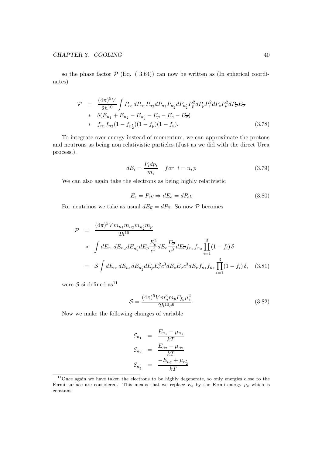so the phase factor  $P$  (Eq. (3.64)) can now be written as (In spherical coordinates)

$$
\mathcal{P} = \frac{(4\pi)^5 V}{2h^{10}} \int P_{n_1} dP_{n_1} P_{n_2} dP_{n_2} P_{n'_2} dP_{n'_2} P_p^2 dP_p P_e^2 dP_e P_{\overline{\nu}}^2 dP_{\overline{\nu}} E_{\overline{\nu}} \ast \delta(E_{n_1} + E_{n_2} - E_{n'_2} - E_p - E_e - E_{\overline{\nu}}) \ast f_{n_1} f_{n_2} (1 - f_{n'_2}) (1 - f_p) (1 - f_e).
$$
\n(3.78)

To integrate over energy instead of momentum, we can approximate the protons and neutrons as being non relativistic particles (Just as we did with the direct Urca process.).

$$
dE_i = \frac{P_i dp_i}{m_i} \quad for \quad i = n, p \tag{3.79}
$$

We can also again take the electrons as being highly relativistic

$$
E_e = P_e c \Rightarrow dE_e = dP_e c \tag{3.80}
$$

For neutrinos we take as usual  $dE_{\overline{\nu}} = dP_{\overline{\nu}}$ . So now  $P$  becomes

$$
\mathcal{P} = \frac{(4\pi)^5 V m_{n_1} m_{n_2} m_{n'_2} m_p}{2h^{10}}
$$
  
\n
$$
* \int dE_{n_1} dE_{n_2} dE_{n'_2} dE_p \frac{E_e^2}{c^3} dE_e \frac{E_{\overline{v}}}{c^3} dE_{\overline{v}} f_{n_1} f_{n_2} \prod_{i=1}^3 (1 - f_i) \delta
$$
  
\n
$$
= S \int dE_{n_1} dE_{n_2} dE_{n'_2} dE_p E_e^2 c^3 dE_e E_{\overline{v}} c^3 dE_{\overline{v}} f_{n_1} f_{n_2} \prod_{i=1}^3 (1 - f_i) \delta, \quad (3.81)
$$

were  $\mathcal S$  si defined  $\mathrm{as}^{11}$ 

$$
S = \frac{(4\pi)^5 V m_n^3 m_p P_{fp} \mu_e^2}{2h^{10} c^6}.
$$
\n(3.82)

Now we make the following changes of variable

$$
\mathcal{E}_{n_1} = \frac{E_{n_1} - \mu_{n_1}}{kT}
$$

$$
\mathcal{E}_{n_2} = \frac{E_{n_2} - \mu_{n_2}}{kT}
$$

$$
\mathcal{E}_{n'_2} = \frac{-E_{n_2} + \mu_{n'_2}}{kT}
$$

 $11$ Once again we have taken the electrons to be highly degenerate, so only energies close to the Fermi surface are considered. This means that we replace  $E_e$  by the Fermi energy  $\mu_e$  which is constant.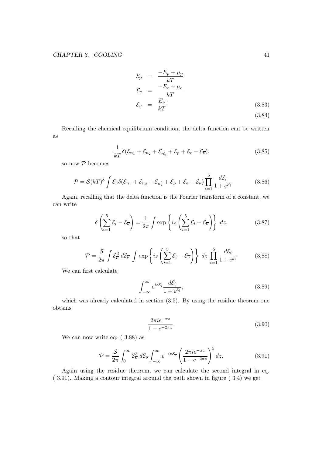$$
\mathcal{E}_p = \frac{-E_p + \mu_p}{kT}
$$
\n
$$
\mathcal{E}_e = \frac{-E_e + \mu_e}{kT}
$$
\n
$$
\mathcal{E}_{\overline{\nu}} = \frac{E_{\overline{\nu}}}{kT}
$$
\n(3.83)\n(3.84)

Recalling the chemical equilibrium condition, the delta function can be written as

$$
\frac{1}{kT}\delta(\mathcal{E}_{n_1}+\mathcal{E}_{n_2}+\mathcal{E}_{n'_2}+\mathcal{E}_p+\mathcal{E}_e-\mathcal{E}_{\overline{\nu}}),\tag{3.85}
$$

so now  $P$  becomes

$$
\mathcal{P} = \mathcal{S}(kT)^8 \int \mathcal{E}_{\overline{\nu}} \delta(\mathcal{E}_{n_1} + \mathcal{E}_{n_2} + \mathcal{E}_{n'_2} + \mathcal{E}_p + \mathcal{E}_e - \mathcal{E}_{\overline{\nu}}) \prod_{i=1}^5 \frac{d\mathcal{E}_i}{1 + e^{\mathcal{E}_i}}.
$$
(3.86)

Again, recalling that the delta function is the Fourier transform of a constant, we can write

$$
\delta\left(\sum_{i=1}^{5}\mathcal{E}_{i}-\mathcal{E}_{\overline{\nu}}\right)=\frac{1}{2\pi}\int\exp\left\{iz\left(\sum_{i=1}^{5}\mathcal{E}_{i}-\mathcal{E}_{\overline{\nu}}\right)\right\} dz,
$$
\n(3.87)

so that

$$
\mathcal{P} = \frac{\mathcal{S}}{2\pi} \int \mathcal{E}_{\overline{\nu}}^3 d\mathcal{E}_{\overline{\nu}} \int \exp\left\{ iz \left( \sum_{i=1}^5 \mathcal{E}_i - \mathcal{E}_{\overline{\nu}} \right) \right\} dz \prod_{i=1}^5 \frac{d\mathcal{E}_i}{1 + e^{\mathcal{E}_i}}
$$
(3.88)

We can first calculate

$$
\int_{-\infty}^{\infty} e^{iz\mathcal{E}_i} \frac{d\mathcal{E}_i}{1 + e^{\mathcal{E}_i}},\tag{3.89}
$$

which was already calculated in section  $(3.5)$ . By using the residue theorem one obtains

$$
\frac{2\pi i e^{-\pi z}}{1 - e^{-2\pi z}}.\tag{3.90}
$$

We can now write eq. ( 3.88) as

$$
\mathcal{P} = \frac{\mathcal{S}}{2\pi} \int_0^\infty \mathcal{E}_\mathcal{V}^3 d\mathcal{E}_\mathcal{V} \int_{-\infty}^\infty e^{-iz\mathcal{E}_\mathcal{V}} \left(\frac{2\pi i e^{-\pi z}}{1 - e^{-2\pi z}}\right)^5 dz.
$$
 (3.91)

Again using the residue theorem, we can calculate the second integral in eq. ( 3.91). Making a contour integral around the path shown in figure ( 3.4) we get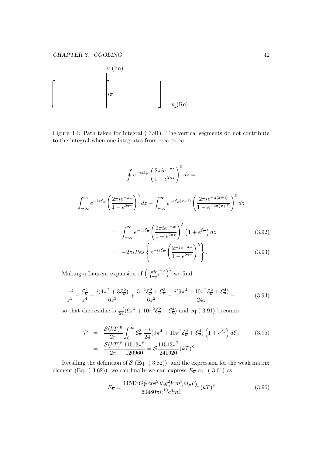

Figure 3.4: Path taken for integral ( 3.91). The vertical segments do not contribute to the integral when one integrates from  $-\infty$  to  $\infty$ .

$$
\oint e^{-iz\xi_{\overline{\nu}}} \left(\frac{2\pi i e^{-\pi z}}{1 - e^{2\pi z}}\right)^5 dz =
$$
\n
$$
\int_{-\infty}^{\infty} e^{-ix\xi_{\overline{\nu}}} \left(\frac{2\pi i e^{-\pi x}}{1 - e^{2\pi x}}\right)^5 dz - \int_{-\infty}^{\infty} e^{-i\xi_{\overline{\nu}}(x+i)} \left(\frac{2\pi i e^{-\pi (x+i)}}{1 - e^{-2\pi (x+i)}}\right)^5 dz
$$
\n
$$
= \int_{-\infty}^{\infty} e^{-ix\xi_{\overline{\nu}}} \left(\frac{2\pi i e^{-\pi x}}{1 - e^{2\pi x}}\right)^5 \left(1 + e^{\xi_{\overline{\nu}}}\right) dz \tag{3.92}
$$

$$
= -2\pi i Res \left\{ e^{-iz\mathcal{E}_{\overline{\nu}}} \left( \frac{2\pi i e^{-\pi x}}{1 - e^{2\pi x}} \right)^5 \right\}.
$$
 (3.93)

Making a Laurent expansion of  $\left(\frac{2\pi i e^{-\pi x}}{1-e^{2\pi x}}\right)$  $\frac{2\pi i e^{-\pi x}}{1-e^{2\pi x}}\Big)^5$  we find

$$
\frac{-i}{z^5} - \frac{\mathcal{E}_{\overline{\nu}}^2}{z^4} + \frac{i(4\pi^2 + 3\mathcal{E}_{\overline{\nu}}^2)}{6z^3} + \frac{5\pi^2 \mathcal{E}_{\overline{\nu}}^2 + \mathcal{E}_{\overline{\nu}}^3}{6z^2} - \frac{i(9\pi^4 + 10\pi^2 \mathcal{E}_{\overline{\nu}}^2 + \mathcal{E}_{\overline{\nu}}^4)}{24z} + \dots \tag{3.94}
$$

so that the residue is  $\frac{-i}{24}(9\pi^4 + 10\pi^2 \mathcal{E}_{\overline{\nu}}^2 + \mathcal{E}_{\overline{\nu}}^4)$  and eq (3.91) becomes

$$
\mathcal{P} = \frac{\mathcal{S}(kT)^8}{2\pi} \int_0^\infty \mathcal{E}_\nu^3 \frac{-i}{24} (9\pi^4 + 10\pi^2 \mathcal{E}_\nu^2 + \mathcal{E}_\nu^4) \left( 1 + e^{\mathcal{E}_\nu} \right) d\mathcal{E}_\nu \qquad (3.95)
$$
  
= 
$$
\frac{\mathcal{S}(kT)^8}{2\pi} \frac{11513\pi^8}{120960} = \mathcal{S} \frac{11513\pi^7}{241920} (kT)^8.
$$

Recalling the definition of  $S$  (Eq. (3.82)), and the expression for the weak matrix element (Eq. ( 3.62)), we can finally we can express  $\dot{E}_{\overline{\nu}}$  eq. ( 3.61) as

$$
\dot{E}_{\overline{\nu}} = \frac{11513 G_F^2 \cos^2 \theta_c g_a^2 V m_n^3 m_p P_{f_p}}{60480 \pi \hbar^{10} c^6 m_\pi^4} (kT)^8
$$
\n(3.96)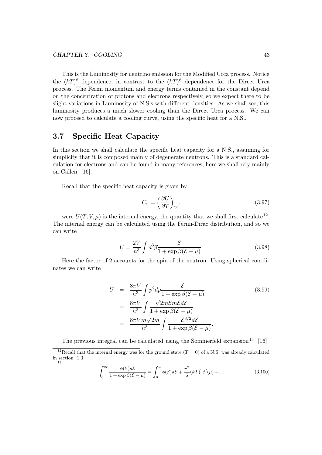This is the Luminosity for neutrino emission for the Modified Urca process. Notice the  $(kT)^8$  dependence, in contrast to the  $(kT)^6$  dependence for the Direct Urca process. The Fermi momentum and energy terms contained in the constant depend on the concentration of protons and electrons respectively, so we expect there to be slight variations in Luminosity of N.S.s with different densities. As we shall see, this luminosity produces a much slower cooling than the Direct Urca process. We can now proceed to calculate a cooling curve, using the specific heat for a N.S..

# 3.7 Specific Heat Capacity

In this section we shall calculate the specific heat capacity for a N.S., assuming for simplicity that it is composed mainly of degenerate neutrons. This is a standard calculation for electrons and can be found in many references, here we shall rely mainly on Callen [16].

Recall that the specific heat capacity is given by

$$
C_v = \left(\frac{\partial U}{\partial T}\right)_V,\tag{3.97}
$$

were  $U(T, V, \mu)$  is the internal energy, the quantity that we shall first calculate<sup>12</sup>. The internal energy can be calculated using the Fermi-Dirac distribution, and so we can write

$$
U = \frac{2V}{h^3} \int d^3 \vec{p} \frac{\mathcal{E}}{1 + \exp \beta (\mathcal{E} - \mu)}.
$$
 (3.98)

Here the factor of 2 accounts for the spin of the neutron. Using spherical coordinates we can write

$$
U = \frac{8\pi V}{h^3} \int p^2 dp \frac{\mathcal{E}}{1 + \exp \beta (\mathcal{E} - \mu)}
$$
(3.99)  
= 
$$
\frac{8\pi V}{h^3} \int \frac{\sqrt{2m\mathcal{E}}m\mathcal{E}d\mathcal{E}}{1 + \exp \beta (\mathcal{E} - \mu)}
$$
  
= 
$$
\frac{8\pi V m\sqrt{2m}}{h^3} \int \frac{\mathcal{E}^{3/2}d\mathcal{E}}{1 + \exp \beta (\mathcal{E} - \mu)}.
$$

The previous integral can be calculated using the Sommerfeld expansion<sup>13</sup> [16]

$$
\int_0^\infty \frac{\phi(\mathcal{E})d\mathcal{E}}{1 + \exp \beta(\mathcal{E} - \mu)} = \int_0^\mu \phi(\mathcal{E})d\mathcal{E} + \frac{\pi^2}{6} (kT)^2 \phi'(\mu) + \dots \tag{3.100}
$$

<sup>&</sup>lt;sup>12</sup>Recall that the internal energy was for the ground state  $(T = 0)$  of a N.S. was already calculated in section 1.3 13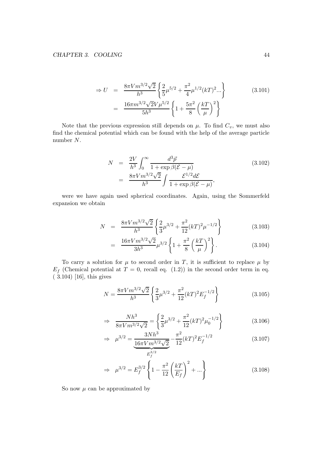$$
\Rightarrow U = \frac{8\pi V m^{3/2} \sqrt{2}}{h^3} \left\{ \frac{2}{5} \mu^{5/2} + \frac{\pi^2}{4} \mu^{1/2} (kT)^2 ... \right\}
$$
(3.101)  

$$
= \frac{16\pi m^{3/2} \sqrt{2} V \mu^{5/2}}{5h^3} \left\{ 1 + \frac{5\pi^2}{8} \left(\frac{kT}{\mu}\right)^2 \right\}
$$

Note that the previous expression still depends on  $\mu$ . To find  $C_v$ , we must also find the chemical potential which can be found with the help of the average particle number N.

$$
N = \frac{2V}{h^3} \int_0^\infty \frac{d^3 \vec{p}}{1 + \exp \beta (\mathcal{E} - \mu)}
$$
  
= 
$$
\frac{8\pi V m^{3/2} \sqrt{2}}{h^3} \int \frac{\mathcal{E}^{1/2} d\mathcal{E}}{1 + \exp \beta (\mathcal{E} - \mu)},
$$
(3.102)

were we have again used spherical coordinates. Again, using the Sommerfeld expansion we obtain

$$
N = \frac{8\pi V m^{3/2} \sqrt{2}}{h^3} \left\{ \frac{2}{3} \mu^{3/2} + \frac{\pi^2}{12} (kT)^2 \mu^{-1/2} \right\}
$$
(3.103)

$$
= \frac{16\pi V m^{3/2} \sqrt{2}}{3h^3} \mu^{3/2} \left\{ 1 + \frac{\pi^2}{8} \left( \frac{kT}{\mu} \right)^2 \right\}.
$$
 (3.104)

To carry a solution for  $\mu$  to second order in T, it is sufficient to replace  $\mu$  by  $E_f$  (Chemical potential at  $T = 0$ , recall eq. (1.2)) in the second order term in eq. ( 3.104) [16], this gives

$$
N = \frac{8\pi V m^{3/2} \sqrt{2}}{h^3} \left\{ \frac{2}{3} \mu^{3/2} + \frac{\pi^2}{12} (kT)^2 E_f^{-1/2} \right\}
$$
 (3.105)

$$
\Rightarrow \frac{Nh^3}{8\pi V m^{3/2}\sqrt{2}} = \left\{\frac{2}{3}\mu^{3/2} + \frac{\pi^2}{12}(kT)^2\mu_0^{-1/2}\right\} \tag{3.106}
$$

$$
\Rightarrow \mu^{3/2} = \underbrace{\frac{3Nh^3}{16\pi V m^{3/2}\sqrt{2}}}_{E_f^{3/2}} - \frac{\pi^2}{12} (kT)^2 E_f^{-1/2}
$$
\n(3.107)

$$
\Rightarrow \mu^{3/2} = E_f^{3/2} \left\{ 1 - \frac{\pi^2}{12} \left( \frac{kT}{E_f} \right)^2 + \dots \right\} \tag{3.108}
$$

So now  $\mu$  can be approximated by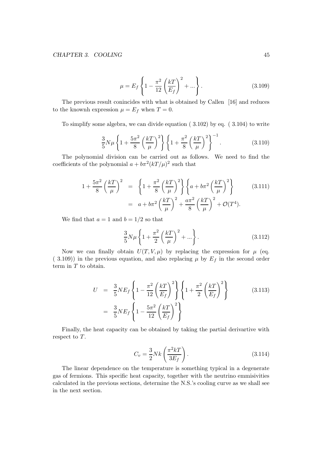$$
\mu = E_f \left\{ 1 - \frac{\pi^2}{12} \left( \frac{kT}{E_f} \right)^2 + \dots \right\}.
$$
\n(3.109)

The previous result conincides with what is obtained by Callen [16] and reduces to the knownh expression  $\mu = E_f$  when  $T = 0$ .

To simplify some algebra, we can divide equation ( 3.102) by eq. ( 3.104) to write

$$
\frac{3}{5}N\mu\left\{1+\frac{5\pi^2}{8}\left(\frac{kT}{\mu}\right)^2\right\}\left\{1+\frac{\pi^2}{8}\left(\frac{kT}{\mu}\right)^2\right\}^{-1}.
$$
 (3.110)

The polynomial division can be carried out as follows. We need to find the coefficients of the polynomial  $a + b\pi^2 (kT/\mu)^2$  such that

$$
1 + \frac{5\pi^2}{8} \left(\frac{kT}{\mu}\right)^2 = \left\{1 + \frac{\pi^2}{8} \left(\frac{kT}{\mu}\right)^2\right\} \left\{a + b\pi^2 \left(\frac{kT}{\mu}\right)^2\right\} = a + b\pi^2 \left(\frac{kT}{\mu}\right)^2 + \frac{a\pi^2}{8} \left(\frac{kT}{\mu}\right)^2 + \mathcal{O}(T^4).
$$
 (3.111)

We find that  $a = 1$  and  $b = 1/2$  so that

$$
\frac{3}{5}N\mu\left\{1+\frac{\pi^2}{2}\left(\frac{kT}{\mu}\right)^2+\ldots\right\}.
$$
 (3.112)

Now we can finally obtain  $U(T, V, \mu)$  by replacing the expression for  $\mu$  (eq. (3.109)) in the previous equation, and also replacing  $\mu$  by  $E_f$  in the second order term in  $T$  to obtain.

$$
U = \frac{3}{5} N E_f \left\{ 1 - \frac{\pi^2}{12} \left( \frac{kT}{E_f} \right)^2 \right\} \left\{ 1 + \frac{\pi^2}{2} \left( \frac{kT}{E_f} \right)^2 \right\}
$$
(3.113)  
=  $\frac{3}{5} N E_f \left\{ 1 - \frac{5\pi^2}{12} \left( \frac{kT}{E_f} \right)^2 \right\}$ 

Finally, the heat capacity can be obtained by taking the partial derivartive with respect to T.

$$
C_v = \frac{3}{2} Nk \left( \frac{\pi^2 kT}{3E_f} \right). \tag{3.114}
$$

The linear dependence on the temperature is something typical in a degenerate gas of fermions. This specific heat capacity, together with the neutrino emmisivities calculated in the previous sections, determine the N.S.'s cooling curve as we shall see in the next section.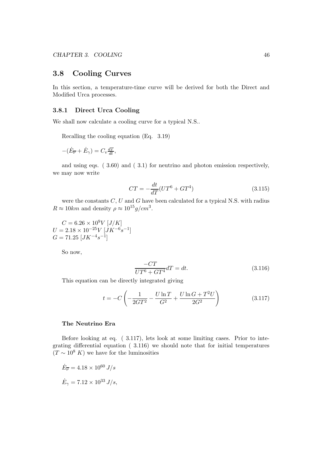# 3.8 Cooling Curves

In this section, a temperature-time curve will be derived for both the Direct and Modified Urca processes.

#### 3.8.1 Direct Urca Cooling

We shall now calculate a cooling curve for a typical N.S..

Recalling the cooling equation (Eq. 3.19)

$$
-(\dot{E}_{\overline{\nu}} + \dot{E}_{\gamma}) = C_v \frac{dT}{dt},
$$

and using eqs. ( 3.60) and ( 3.1) for neutrino and photon emission respectively, we may now write

$$
CT = -\frac{dt}{dT}(UT^6 + GT^4)
$$
\n(3.115)

were the constants  $C, U$  and  $G$  have been calculated for a typical N.S. with radius  $R \approx 10km$  and density  $\rho \approx 10^{15} g/cm^3$ .

 $C = 6.26 \times 10^9 V \left[ J/K \right]$  $U = 2.18 \times 10^{-25} V \left[ J K^{-6} s^{-1} \right]$  $G = 71.25 \; [JK^{-4}s^{-1}]$ 

So now,

$$
\frac{-CT}{UT^6 + GT^4}dT = dt.
$$
\n(3.116)

This equation can be directly integrated giving

$$
t = -C \left( -\frac{1}{2GT^2} - \frac{U \ln T}{G^2} + \frac{U \ln G + T^2 U}{2G^2} \right) \tag{3.117}
$$

#### The Neutrino Era

Before looking at eq. ( 3.117), lets look at some limiting cases. Prior to integrating differential equation ( 3.116) we should note that for initial temperatures  $(T \sim 10^8 K)$  we have for the luminosities

$$
\dot{E}_{\overline{\nu}} = 4.18 \times 10^{60} \text{ J/s}
$$
  

$$
\dot{E}_{\gamma} = 7.12 \times 10^{33} \text{ J/s},
$$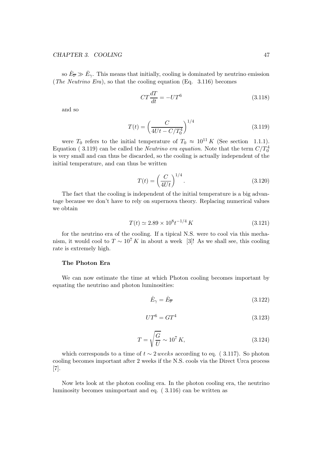so  $\dot{E}_{\overline{\nu}} \gg \dot{E}_{\gamma}$ . This means that initially, cooling is dominated by neutrino emission (The Neutrino Era), so that the cooling equation (Eq.  $3.116$ ) becomes

$$
CT\frac{dT}{dt} = -UT^6\tag{3.118}
$$

and so

$$
T(t) = \left(\frac{C}{4Ut - C/T_0^4}\right)^{1/4}
$$
\n(3.119)

were  $T_0$  refers to the initial temperature of  $T_0 \approx 10^{11} K$  (See section 1.1.1). Equation (3.119) can be called the *Neutrino era equation*. Note that the term  $C/T_0^4$ is very small and can thus be discarded, so the cooling is actually independent of the initial temperature, and can thus be written

$$
T(t) = \left(\frac{C}{4Ut}\right)^{1/4}.\tag{3.120}
$$

The fact that the cooling is independent of the initial temperature is a big advantage because we don't have to rely on supernova theory. Replacing numerical values we obtain

$$
T(t) \simeq 2.89 \times 10^8 t^{-1/4} K \tag{3.121}
$$

for the neutrino era of the cooling. If a tipical N.S. were to cool via this mechanism, it would cool to  $T \sim 10^7 K$  in about a week [3]! As we shall see, this cooling rate is extremely high.

#### The Photon Era

We can now estimate the time at which Photon cooling becomes important by equating the neutrino and photon luminosities:

$$
\dot{E}_{\gamma} = \dot{E}_{\overline{\nu}} \tag{3.122}
$$

$$
UT^6 = GT^4 \tag{3.123}
$$

$$
T = \sqrt{\frac{G}{U}} \sim 10^7 K,
$$
\n(3.124)

which corresponds to a time of  $t \sim 2$  weeks according to eq. (3.117). So photon cooling becomes important after 2 weeks if the N.S. cools via the Direct Urca process [7].

Now lets look at the photon cooling era. In the photon cooling era, the neutrino luminosity becomes unimportant and eq. ( 3.116) can be written as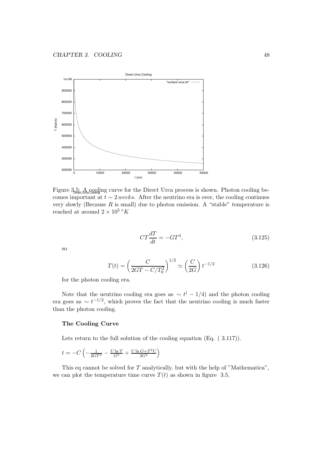

Figure  $3.5:$  A cooling curve for the Direct Urca process is shown. Photon cooling becomes important at  $t \sim 2$  weeks. After the neutrino era is over, the cooling continues very slowly (Because  $R$  is small) due to photon emission. A "stable" temperature is reached at around  $2 \times 10^5$  °K

$$
CT\frac{dT}{dt} = -GT^4,\tag{3.125}
$$

so

$$
T(t) = \left(\frac{C}{2GT - C/T_0^2}\right)^{1/2} \simeq \left(\frac{C}{2G}\right)t^{-1/2}
$$
\n(3.126)

for the photon cooling era.

Note that the neutrino cooling era goes as  $\sim t^(-1/4)$  and the photon cooling era goes as  $\sim t^{-1/2}$ , which proves the fact that the neutrino cooling is much faster than the photon cooling.

#### The Cooling Curve

Lets return to the full solution of the cooling equation (Eq. (3.117)).

$$
t = -C \left( -\frac{1}{2GT^2} - \frac{U \ln T}{G^2} + \frac{U \ln G + T^2 U}{2G^2} \right)
$$

This eq cannot be solved for  $T$  analytically, but with the help of "Mathematica", we can plot the temperature time curve  $T(t)$  as shown in figure 3.5.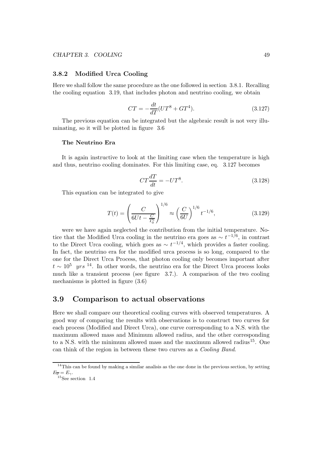#### 3.8.2 Modified Urca Cooling

Here we shall follow the same procedure as the one followed in section 3.8.1. Recalling the cooling equation 3.19, that includes photon and neutrino cooling, we obtain

$$
CT = -\frac{dt}{dT}(UT^8 + GT^4). \tag{3.127}
$$

The previous equation can be integrated but the algebraic result is not very illuminating, so it will be plotted in figure 3.6

#### The Neutrino Era

It is again instructive to look at the limiting case when the temperature is high and thus, neutrino cooling dominates. For this limiting case, eq. 3.127 becomes

$$
CT\frac{dT}{dt} = -UT^8.\t\t(3.128)
$$

This equation can be integrated to give

$$
T(t) = \left(\frac{C}{6Ut - \frac{C}{T_0^6}}\right)^{1/6} \approx \left(\frac{C}{6U}\right)^{1/6} t^{-1/6},\tag{3.129}
$$

were we have again neglected the contribution from the initial temperature. Notice that the Modified Urca cooling in the neutrino era goes as  $\sim t^{-1/6}$ , in contrast to the Direct Urca cooling, which goes as  $\sim t^{-1/4}$ , which provides a faster cooling. In fact, the neutrino era for the modified urca process is so long, compared to the one for the Direct Urca Process, that photon cooling only becomes important after  $t \sim 10^5$  yrs<sup>14</sup>. In other words, the neutrino era for the Direct Urca process looks much like a transient process (see figure 3.7.). A comparison of the two cooling mechanisms is plotted in figure (3.6)

## 3.9 Comparison to actual observations

Here we shall compare our theoretical cooling curves with observed temperatures. A good way of comparing the results with observations is to construct two curves for each process (Modified and Direct Urca), one curve corresponding to a N.S. with the maximum allowed mass and Minimum allowed radius, and the other corresponding to a N.S. with the minimum allowed mass and the maximum allowed radius<sup>15</sup>. One can think of the region in between these two curves as a Cooling Band.

<sup>&</sup>lt;sup>14</sup>This can be found by making a similar analisis as the one done in the previous section, by setting  $E_{\overline{\nu}}=E_{\gamma}$ .

 $15$ See section 1.4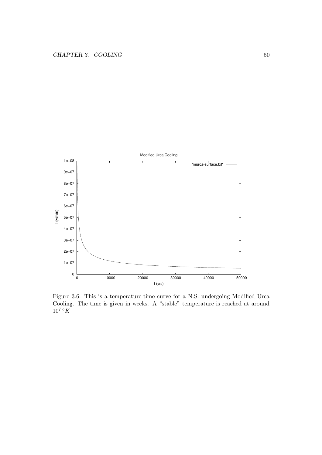

Figure 3.6: This is a temperature-time curve for a N.S. undergoing Modified Urca Cooling. The time is given in weeks. A "stable" temperature is reached at around  $10^7 °K$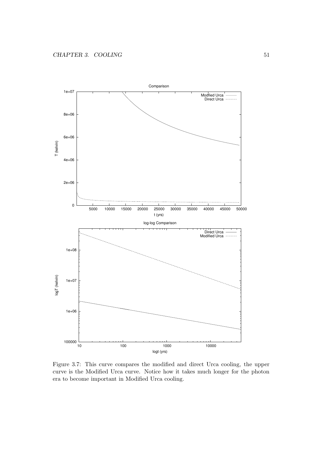

Figure 3.7: This curve compares the modified and direct Urca cooling, the upper curve is the Modified Urca curve. Notice how it takes much longer for the photon era to become important in Modified Urca cooling.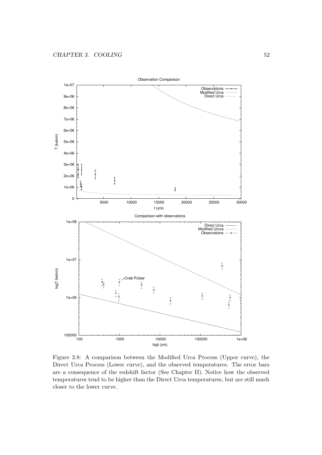

Figure 3.8: A comparison between the Modified Urca Process (Upper curve), the Direct Urca Process (Lower curve), and the observed temperatures. The error bars are a consequence of the redshift factor (See Chapter II). Notice how the observed temperatures tend to be higher than the Direct Urca temperatures, but are still much closer to the lower curve.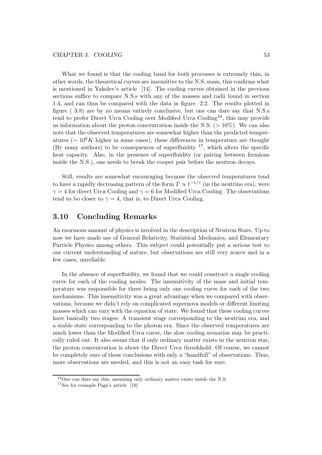What we found is that the cooling band for both processes is extremely thin, in other words, the theoretical curves are insensitive to the N.S. mass, this confirms what is mentioned in Yakolev's article [14]. The cooling curves obtained in the previous sections suffice to compare N.S.s with any of the masses and radii found in section 1.4, and can thus be compared with the data in figure 2.2. The results plotted in figure ( 3.8) are by no means entirely conclusive, but one can dare say that N.S.s tend to prefer Direct Urca Cooling over Modified Urca Cooling<sup>16</sup>, this may provide us information about the proton concentration inside the N.S.  $(>10\%)$ . We can also note that the observed temperatures are somewhat higher than the predicted temperatures ( $\sim 10^6 K$  higher in some cases), these differences in temperature are thought (By many authors) to be consequences of superfluidity  $17$ , which alters the specific heat capacity. Also, in the presence of superfluidity (or pairing between fermions inside the N.S.), one needs to break the cooper pair before the neutron decays.

Still, results are somewhat encouraging because the observed temperatures tend to have a rapidly decreasing pattern of the form  $T \propto t^{-1/\gamma}$  (in the neutrino era), were  $\gamma = 4$  for direct Urca Cooling and  $\gamma = 6$  for Modified Urca Cooling. The observations tend to bo closer to  $\gamma = 4$ , that is, to Direct Urca Cooling.

# 3.10 Concluding Remarks

An enormous amount of physics is involved in the description of Neutron Stars. Up to now we have made use of General Relativity, Statistical Mechanics, and Elementary Particle Physics among others. This subject could potentially put a serious test to our current understanding of nature, but observations are still very scarce and in a few cases, unreliable.

In the absence of superfluidity, we found that we could construct a single cooling curve for each of the cooling modes. The insensitivity of the mass and initial temperature was responsible for there being only one cooling curve for each of the two mechanisms. This insensitivity was a great advantage when we compared with observations, because we didn't rely on complicated supernova models or different limiting masses which can vary with the equation of state. We found that these cooling curves have basically two stages: A transient stage corresponding to the neutrino era, and a stable state corresponding to the photon era. Since the observed temperatures are much lower than the Modified Urca curve, the slow cooling scenarios may be practically ruled out. It also seems that if only ordinary matter exists in the neutron star, the proton concentration is above the Direct Urca threshhold. Of course, we cannot be completely sure of these conclusions with only a "handfull" of observations. Thus, more observations are needed, and this is not an easy task for sure.

 $^{16}$ One can dare say this, assuming only ordinary matter exists inside the N.S.

 $17$ See for example Page's article [19]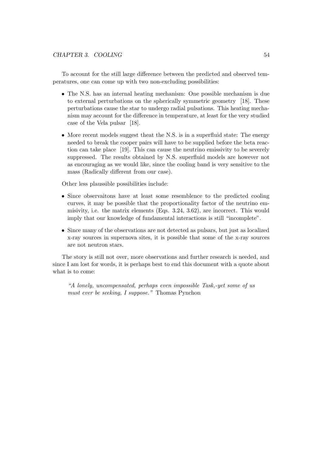To account for the still large difference between the predicted and observed temperatures, one can come up with two non-excluding possibilities:

- The N.S. has an internal heating mechanism: One possible mechanism is due to external perturbations on the spherically symmetric geometry [18]. These perturbations cause the star to undergo radial pulsations. This heating mechanism may account for the difference in temperature, at least for the very studied case of the Vela pulsar [18].
- More recent models suggest theat the N.S. is in a superfluid state: The energy needed to break the cooper pairs will have to be supplied before the beta reaction can take place [19]. This can cause the neutrino emissivity to be severely suppressed. The results obtained by N.S. superfluid models are however not as encouraging as we would like, since the cooling band is very sensitive to the mass (Radically different from our case).

Other less plaussible possibilities include:

- Since observaitons have at least some resemblence to the predicted cooling curves, it may be possible that the proportionality factor of the neutrino emmisivity, i.e. the matrix elements (Eqs. 3.24, 3.62), are incorrect. This would imply that our knowledge of fundamental interactions is still "incomplete".
- Since many of the observations are not detected as pulsars, but just as localized x-ray sources in supernova sites, it is possible that some of the x-ray sources are not neutron stars.

The story is still not over, more observations and further research is needed, and since I am lost for words, it is perhaps best to end this document with a quote about what is to come:

"A lonely, uncompensated, perhaps even impossible Task,-yet some of us must ever be seeking, I suppose." Thomas Pynchon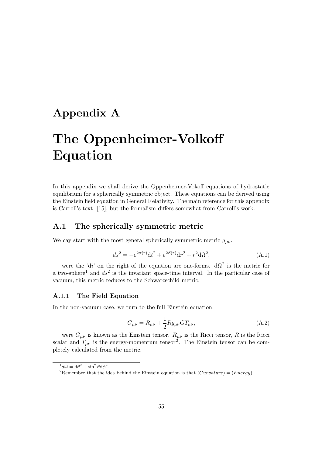# Appendix A

# The Oppenheimer-Volkoff Equation

In this appendix we shall derive the Oppenheimer-Vokoff equations of hydrostatic equilibrium for a spherically symmetric object. These equations can be derived using the Einstein field equation in General Relativity. The main reference for this appendix is Carroll's text [15], but the formalism differs somewhat from Carroll's work.

## A.1 The spherically symmetric metric

We cay start with the most general spherically symmetric metric  $g_{\mu\nu}$ ,

$$
ds^{2} = -e^{2\alpha(r)}dt^{2} + e^{2\beta(r)}dr^{2} + r^{2}d\Omega^{2},
$$
\n(A.1)

were the 'di' on the right of the equation are one-forms.  $d\Omega^2$  is the metric for a two-sphere<sup>1</sup> and  $ds^2$  is the invariant space-time interval. In the particular case of vacuum, this metric reduces to the Schwarzschild metric.

#### A.1.1 The Field Equation

In the non-vacuum case, we turn to the full Einstein equation,

$$
G_{\mu\nu} = R_{\mu\nu} + \frac{1}{2} R g_{\mu\nu} G T_{\mu\nu}, \tag{A.2}
$$

were  $G_{\mu\nu}$  is known as the Einstein tensor.  $R_{\mu\nu}$  is the Ricci tensor, R is the Ricci scalar and  $T_{\mu\nu}$  is the energy-momentum tensor<sup>2</sup>. The Einstein tensor can be completely calculated from the metric.

 ${}^1d\Omega = d\theta^2 + \sin^2 \theta d\phi^2.$ 

<sup>&</sup>lt;sup>2</sup>Remember that the idea behind the Einstein equation is that  $(Curvature) = (Energy)$ .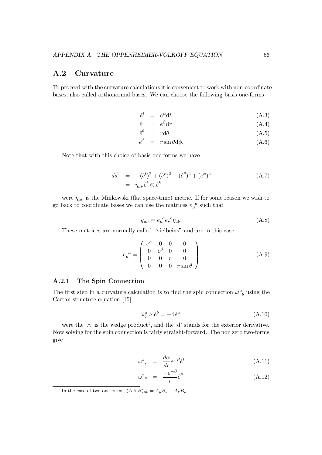# A.2 Curvature

To proceed with the curvature calculations it is convenient to work with non-coordinate bases, also called orthonormal bases. We can choose the following basis one-forms

$$
\hat{e}^t = e^{\alpha} \mathrm{d}t \tag{A.3}
$$

$$
\hat{e}^r = e^\beta \mathrm{d}r \tag{A.4}
$$

$$
\hat{e}^{\theta} = r d\theta \tag{A.5}
$$

$$
\hat{e}^{\phi} = r \sin \theta \, d\phi. \tag{A.6}
$$

Note that with this choice of basis one-forms we have

$$
ds^{2} = -(\hat{e}^{t})^{2} + (\hat{e}^{r})^{2} + (\hat{e}^{\theta})^{2} + (\hat{e}^{\phi})^{2}
$$
  
=  $\eta_{\mu\nu}\hat{e}^{b} \otimes \hat{e}^{b}$  (A.7)

were  $\eta_{\mu\nu}$  is the Minkowski (flat space-time) metric. If for some reason we wish to go back to coordinate bases we can use the matrices  $e_\mu^{\ a}$  such that

$$
g_{\mu\nu} = e_{\mu}^{\ \ a} e_{\nu}^{\ \ b} \eta_{ab}.\tag{A.8}
$$

These matrices are normally called "vielbeins" and are in this case

$$
e_{\mu}^{a} = \begin{pmatrix} e^{\alpha} & 0 & 0 & 0 \\ 0 & e^{\beta} & 0 & 0 \\ 0 & 0 & r & 0 \\ 0 & 0 & 0 & r \sin \theta \end{pmatrix}
$$
 (A.9)

#### A.2.1 The Spin Connection

The first step in a curvature calculation is to find the spin connection  $\omega^a_{\ b}$  using the Cartan structure equation [15]

$$
\omega_b^a \wedge \hat{e}^b = -\mathrm{d}\hat{e}^a,\tag{A.10}
$$

were the ' $\wedge$ ' is the wedge product<sup>3</sup>, and the 'd' stands for the exterior derivative. Now solving for the spin connection is fairly straight-forward. The non zero two-forms give

$$
\omega^t{}_r = \frac{d\alpha}{dr} e^{-\beta} \hat{e}^t \tag{A.11}
$$

$$
\omega^r_{\theta} = \frac{-e^{-\beta}}{r} \hat{e}^{\theta} \tag{A.12}
$$

<sup>&</sup>lt;sup>3</sup>In the case of two one-forms,  $(A \wedge B)_{\mu\nu} = A_{\mu}B_{\nu} - A_{\nu}B_{\mu}$ .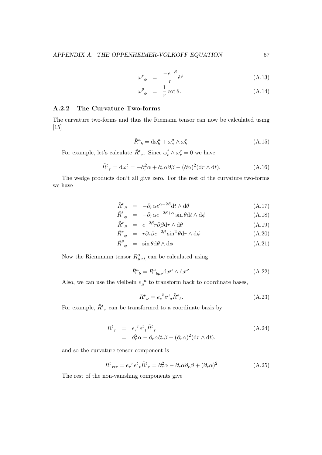$$
\omega^r \phi = \frac{-e^{-\beta}}{r} \hat{e}^{\phi} \tag{A.13}
$$

$$
\omega^{\theta}_{\phi} = \frac{1}{r} \cot \theta. \tag{A.14}
$$

### A.2.2 The Curvature Two-forms

The curvature two-forms and thus the Riemann tensor can now be calculated using [15]

$$
\tilde{R}^a{}_b = \mathrm{d}\omega_b^a + \omega_c^a \wedge \omega_b^c. \tag{A.15}
$$

For example, let's calculate  $\tilde{R}^t{}_r$ . Since  $\omega_c^t \wedge \omega_r^c = 0$  we have

$$
\tilde{R}^t{}_r = d\omega_r^t = -\partial_r^2 \alpha + \partial_r \alpha \partial \beta - (\partial \alpha)^2 (dr \wedge dt). \tag{A.16}
$$

The wedge products don't all give zero. For the rest of the curvature two-forms we have

$$
\tilde{R}^t_{\ \theta} \ = \ -\partial_r \alpha e^{\alpha - 2\beta} \mathrm{d}t \wedge \mathrm{d}\theta \tag{A.17}
$$

$$
\tilde{R}^t_{\phi} = -\partial_r \alpha e^{-2\beta + \alpha} \sin \theta \, \mathrm{d}t \wedge \mathrm{d}\phi \tag{A.18}
$$

$$
\tilde{R}^r_{\theta} = e^{-2\beta} r \partial \beta dr \wedge d\theta \qquad (A.19)
$$

$$
\tilde{R}^r_{\phi} = r \partial_r \beta e^{-2\beta} \sin^2 \theta dr \wedge d\phi \qquad (A.20)
$$

$$
\tilde{R}^{\theta}_{\phi} = \sin \theta \, d\theta \wedge d\phi \tag{A.21}
$$

Now the Riemmann tensor  $R^{\sigma}_{\mu\nu\lambda}$  can be calculated using

$$
\tilde{R}^a{}_b = R^a{}_{b\mu\nu} \mathrm{d}x^\mu \wedge \mathrm{d}x^\nu. \tag{A.22}
$$

Also, we can use the vielbein  $e_{\mu}^{a}$  to transform back to coordinate bases,

$$
R^{\mu}_{\ \nu} = e_{\nu}^{\ b} e^{\mu}_{\ a} \tilde{R}^{a}_{\ b}. \tag{A.23}
$$

For example,  $\tilde{R}^t{}_r$  can be transformed to a coordinate basis by

$$
R^{t}{}_{r} = e_{r}{}^{r} e^{t}{}_{t} \tilde{R}^{t}{}_{r}
$$
  
=  $\partial_{r}^{2} \alpha - \partial_{r} \alpha \partial_{r} \beta + (\partial_{r} \alpha)^{2} (\text{d} r \wedge \text{d} t),$  (A.24)

and so the curvature tensor component is

$$
R^{t}{}_{rtr} = e_r{}^{r} e^t{}_t \tilde{R}^{t}{}_{r} = \partial_r^2 \alpha - \partial_r \alpha \partial_r \beta + (\partial_r \alpha)^2
$$
 (A.25)

The rest of the non-vanishing components give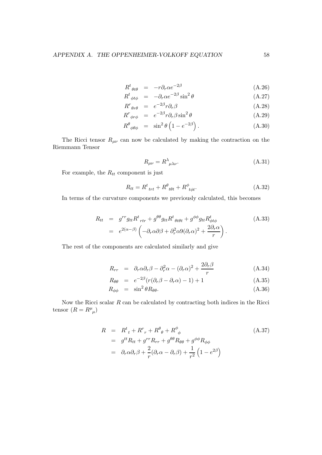$$
R^{t}_{\theta t \theta} = -r \partial_{r} \alpha e^{-2\beta} \tag{A.26}
$$

$$
R^{t}_{\ \phi t\phi} = -\partial_{r}\alpha e^{-2\beta}\sin^{2}\theta \tag{A.27}
$$

$$
R^r{}_{\theta r\theta} = e^{-2\beta} r \partial_r \beta \tag{A.28}
$$

$$
R^r_{\ \phi r\phi} = e^{-2\beta} r \partial_r \beta \sin^2 \theta \tag{A.29}
$$

$$
R^{\theta}_{\ \phi\theta\phi} \ = \ \sin^2\theta \left(1 - e^{-2\beta}\right). \tag{A.30}
$$

The Ricci tensor  $R_{\mu\nu}$  can now be calculated by making the contraction on the Riemmann Tensor

$$
R_{\mu\nu} = R^{\lambda}{}_{\mu\lambda\nu}.
$$
\n(A.31)

For example, the  $R_{tt}$  component is just

$$
R_{tt} = R^t_{\text{ trt}} + R^\theta_{\text{ t}\theta t} + R^\phi_{\text{ t}\phi t}.
$$
 (A.32)

In terms of the curvature components we previously calculated, this becomes

$$
R_{tt} = g^{rr} g_{tt} R^t{}_{rtr} + g^{\theta\theta} g_{tt} R^t{}_{\theta t \theta t} + g^{\phi\phi} g_{tt} R^t_{\phi t \phi}
$$
\n
$$
= e^{2(\alpha - \beta)} \left( -\partial_r \alpha \partial \beta + \partial_r^2 \alpha \partial (\partial_r \alpha)^2 + \frac{2\partial_r \alpha}{r} \right).
$$
\n(A.33)

The rest of the components are calculated similarly and give

$$
R_{rr} = \partial_r \alpha \partial_r \beta - \partial_r^2 \alpha - (\partial_r \alpha)^2 + \frac{2 \partial_r \beta}{r}
$$
 (A.34)

$$
R_{\theta\theta} = e^{-2\beta} (r(\partial_r \beta - \partial_r \alpha) - 1) + 1 \tag{A.35}
$$

$$
R_{\phi\phi} = \sin^2\theta R_{\theta\theta}.\tag{A.36}
$$

Now the Ricci scalar  $R$  can be calculated by contracting both indices in the Ricci tensor  $(R = R^{\mu}_{\mu})$ 

$$
R = Rt + Rr + R\theta_{\theta} + R\phi_{\phi}
$$
  
\n
$$
= gtt Rtt + grr Rrr + g\theta\theta R\theta\theta + g\phi\phi R\phi\phi
$$
  
\n
$$
= \partial_r \alpha \partial_r \beta + \frac{2}{r} (\partial_r \alpha - \partial_r \beta) + \frac{1}{r^2} (1 - e^{2\beta})
$$
\n(A.37)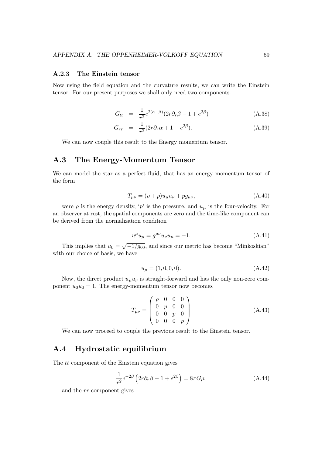#### A.2.3 The Einstein tensor

Now using the field equation and the curvature results, we can write the Einstein tensor. For our present purposes we shall only need two components.

$$
G_{tt} = \frac{1}{r^2} e^{2(\alpha - \beta)} (2r \partial_r \beta - 1 + e^{2\beta}) \tag{A.38}
$$

$$
G_{rr} = \frac{1}{r^2} (2r \partial_r \alpha + 1 - e^{2\beta}). \tag{A.39}
$$

We can now couple this result to the Energy momentum tensor.

# A.3 The Energy-Momentum Tensor

We can model the star as a perfect fluid, that has an energy momentum tensor of the form

$$
T_{\mu\nu} = (\rho + p)u_{\mu}u_{\nu} + pg_{\mu\nu},\tag{A.40}
$$

were  $\rho$  is the energy density, 'p' is the pressure, and  $u_{\mu}$  is the four-velocity. For an observer at rest, the spatial components are zero and the time-like component can be derived from the normalization condition

$$
u^{\mu}u_{\mu} = g^{\mu\nu}u_{\nu}u_{\mu} = -1.
$$
\n(A.41)

This implies that  $u_0 = \sqrt{-1/g_{00}}$ , and since our metric has become "Minkoskian" with our choice of basis, we have

$$
u_{\mu} = (1, 0, 0, 0). \tag{A.42}
$$

Now, the direct product  $u_{\mu}u_{\nu}$  is straight-forward and has the only non-zero component  $u_0u_0 = 1$ . The energy-momentum tensor now becomes

$$
T_{\mu\nu} = \begin{pmatrix} \rho & 0 & 0 & 0 \\ 0 & p & 0 & 0 \\ 0 & 0 & p & 0 \\ 0 & 0 & 0 & p \end{pmatrix}
$$
 (A.43)

We can now proceed to couple the previous result to the Einstein tensor.

## A.4 Hydrostatic equilibrium

The *tt* component of the Einstein equation gives

$$
\frac{1}{r^2}e^{-2\beta}\left(2r\partial_r\beta - 1 + e^{2\beta}\right) = 8\pi G\rho; \tag{A.44}
$$

and the rr component gives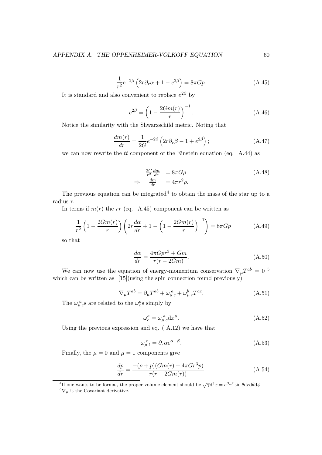$$
\frac{1}{r^2}e^{-2\beta}\left(2r\partial_r\alpha + 1 - e^{2\beta}\right) = 8\pi G p.
$$
\n(A.45)

It is standard and also convenient to replace  $e^{2\beta}$  by

$$
e^{2\beta} = \left(1 - \frac{2Gm(r)}{r}\right)^{-1}.
$$
 (A.46)

Notice the similarity with the Shwarzschild metric. Noting that

$$
\frac{dm(r)}{dr} = \frac{1}{2G}e^{-2\beta} \left(2r\partial_r\beta - 1 + e^{2\beta}\right);
$$
\n(A.47)

we can now rewrite the tt component of the Einstein equation (eq.  $(A.44)$ ) as

$$
\frac{2G}{r^2}\frac{dm}{dr} = 8\pi G\rho
$$
\n
$$
\frac{dm}{dr} = 4\pi r^2 \rho.
$$
\n(A.48)

The previous equation can be integrated<sup>4</sup> to obtain the mass of the star up to a radius r.

In terms if  $m(r)$  the rr (eq. A.45) component can be written as

 $\Rightarrow$ 

$$
\frac{1}{r^2} \left( 1 - \frac{2Gm(r)}{r} \right) \left( 2r \frac{d\alpha}{dr} + 1 - \left( 1 - \frac{2Gm(r)}{r} \right)^{-1} \right) = 8\pi Gp \tag{A.49}
$$

so that

$$
\frac{d\alpha}{dr} = \frac{4\pi Gpr^3 + Gm}{r(r - 2Gm)}.\tag{A.50}
$$

We can now use the equation of energy-momentum conservation  $\nabla_{\mu}T^{ab} = 0^{-5}$ which can be written as [15](using the spin connection found previously)

$$
\nabla_{\mu}T^{ab} = \partial_{\mu}T^{ab} + \omega_{\mu c}^{a} + \omega_{\mu c}^{b}T^{ac}.
$$
 (A.51)

The  $\omega_{\mu c}^a$ 's are related to the  $\omega_c^a$ 's simply by

$$
\omega_c^a = \omega_\mu^a{}_c \mathrm{d}x^\mu. \tag{A.52}
$$

Using the previous expression and eq. ( A.12) we have that

$$
\omega_{\mu t}^{\ r} = \partial_r \alpha e^{\alpha - \beta}.
$$
\n(A.53)

Finally, the  $\mu = 0$  and  $\mu = 1$  components give

$$
\frac{dp}{dr} = \frac{-(\rho + p)(Gm(r) + 4\pi Gr^3p)}{r(r - 2Gm(r))}.
$$
\n(A.54)

<sup>4</sup>If one wants to be formal, the proper volume element should be  $\sqrt{\gamma}d^3x = e^{\beta}r^2 \sin \theta dr d\theta d\phi$ 

 ${}^{5}\nabla_{\mu}$  is the Covariant derivative.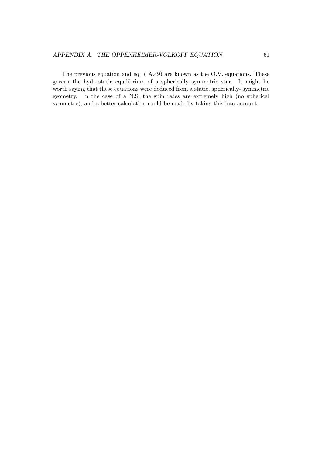The previous equation and eq. ( A.49) are known as the O.V. equations. These govern the hydrostatic equilibrium of a spherically symmetric star. It might be worth saying that these equations were deduced from a static, spherically- symmetric geometry. In the case of a N.S. the spin rates are extremely high (no spherical symmetry), and a better calculation could be made by taking this into account.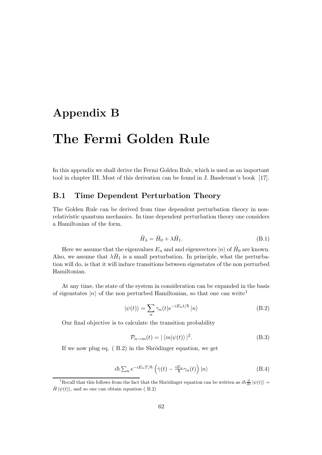# Appendix B

# The Fermi Golden Rule

In this appendix we shall derive the Fermi Golden Rule, which is used as an important tool in chapter III. Most of this derivation can be found in J. Basdevant's book [17].

## B.1 Time Dependent Perturbation Theory

The Golden Rule can be derived from time dependent perturbation theory in nonrelativistic quantum mechanics. In time dependent perturbation theory one considers a Hamiltonian of the form.

$$
\hat{H}_{\lambda} = \hat{H}_0 + \lambda \hat{H}_1. \tag{B.1}
$$

Here we assume that the eigenvalues  $E_n$  and and eigenvectors  $|n\rangle$  of  $\hat{H}_0$  are known. Also, we assume that  $\lambda \hat{H}_1$  is a small perturbation. In principle, what the perturbation will do, is that it will induce transitions between eigenstates of the non perturbed Hamiltonian.

At any time, the state of the system in consideration can be expanded in the basis of eigenstates  $|n\rangle$  of the non perturbed Hamiltonian, so that one can write<sup>1</sup>

$$
|\psi(t)\rangle = \sum_{n} \gamma_n(t) e^{-iE_n t/\hbar} |n\rangle
$$
 (B.2)

Our final objective is to calculate the transition probability

$$
\mathcal{P}_{n \to m}(t) = |\langle m | \psi(t) \rangle|^2. \tag{B.3}
$$

If we now plug eq.  $( B.2)$  in the Shrödinger equation, we get

$$
i\hbar \sum_{n} e^{-iE_{n}T/\hbar} \left(\dot{\gamma}(t) - \frac{iE_{n}}{\hbar} \gamma_{n}(t)\right) |n\rangle \tag{B.4}
$$

<sup>&</sup>lt;sup>1</sup>Recall that this follows from the fact that the Shrödinger equation can be written as  $i\hbar \frac{\partial}{\partial t} |\psi(t)\rangle =$  $\hat{H} |\psi(t)\rangle$ , and so one can obtain equation (B.2)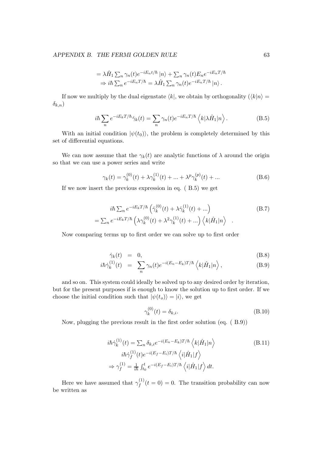#### APPENDIX B. THE FERMI GOLDEN RULE 63

$$
= \lambda \hat{H}_1 \sum_n \gamma_n(t) e^{-iE_n t/\hbar} |n\rangle + \sum_n \gamma_n(t) E_n e^{-iE_n T/\hbar}
$$
  
\n
$$
\Rightarrow i\hbar \sum_n e^{-iE_n T/\hbar} = \lambda \hat{H}_1 \sum_n \gamma_n(t) e^{-iE_n T/\hbar} |n\rangle.
$$

If now we multiply by the dual eigenstate  $\langle k|$ , we obtain by orthogonality  $(\langle k|n \rangle =$  $\delta_{k,n}$ )

$$
i\hbar \sum_{n} e^{-iE_{k}T/\hbar} \dot{\gamma}_{k}(t) = \sum_{n} \gamma_{n}(t) e^{-iE_{n}T/\hbar} \left\langle k|\lambda \hat{H}_{1}|n\right\rangle.
$$
 (B.5)

With an initial condition  $|\psi(t_0)\rangle$ , the problem is completely determined by this set of differential equations.

We can now assume that the  $\gamma_k(t)$  are analytic functions of  $\lambda$  around the origin so that we can use a power series and write

$$
\gamma_k(t) = \gamma_k^{(0)}(t) + \lambda \gamma_k^{(1)}(t) + \dots + \lambda^p \gamma_k^{(p)}(t) + \dots
$$
 (B.6)

If we now insert the previous expression in eq. ( B.5) we get

$$
i\hbar \sum_{n} e^{-iE_{k}T/\hbar} \left( \dot{\gamma}_{k}^{(0)}(t) + \lambda \dot{\gamma}_{k}^{(1)}(t) + \ldots \right)
$$
(B.7)  
= 
$$
\sum_{n} e^{-iE_{k}T/\hbar} \left( \lambda \gamma_{k}^{(0)}(t) + \lambda^{2} \gamma_{k}^{(1)}(t) + \ldots \right) \left\langle k|\hat{H}_{1}|n \right\rangle
$$

Now comparing terms up to first order we can solve up to first order

$$
\dot{\gamma}_k(t) = 0, \tag{B.8}
$$

$$
i\hbar \dot{\gamma}_k^{(1)}(t) = \sum_n \gamma_n(t) e^{-i(E_n - E_k)T/\hbar} \left\langle k|\hat{H}_1|n\right\rangle, \tag{B.9}
$$

and so on. This system could ideally be solved up to any desired order by iteration, but for the present purposes if is enough to know the solution up to first order. If we choose the initial condition such that  $|\psi(t_o)\rangle = |i\rangle$ , we get

$$
\gamma_k^{(0)}(t) = \delta_{k,i}.\tag{B.10}
$$

Now, plugging the previous result in the first order solution (eq. ( B.9))

$$
i\hbar \dot{\gamma}_k^{(1)}(t) = \sum_n \delta_{k,i} e^{-i(E_n - E_k)T/\hbar} \left\langle k|\hat{H}_1|n \right\rangle
$$
\n
$$
i\hbar \dot{\gamma}_f^{(1)}(t) e^{-i(E_f - E_i)T/\hbar} \left\langle i|\hat{H}_1|f \right\rangle
$$
\n
$$
\Rightarrow \gamma_f^{(1)} = \frac{1}{i\hbar} \int_{t_0}^t e^{-i(E_f - E_i)T/\hbar} \left\langle i|\hat{H}_1|f \right\rangle dt.
$$
\n(B.11)

Here we have assumed that  $\gamma_f^{(1)}$  $f_f^{(1)}(t=0) = 0$ . The transition probability can now be written as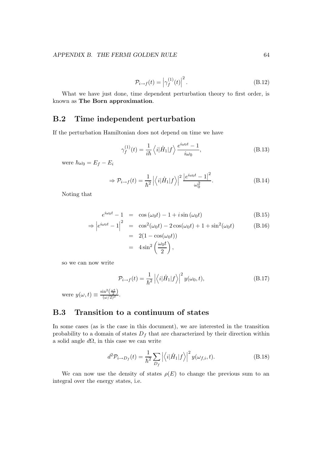$$
\mathcal{P}_{i \to f}(t) = \left| \gamma_f^{(1)}(t) \right|^2.
$$
\n(B.12)

What we have just done, time dependent perturbation theory to first order, is known as The Born approximation.

# B.2 Time independent perturbation

If the perturbation Hamiltonian does not depend on time we have

$$
\gamma_f^{(1)}(t) = \frac{1}{i\hbar} \left\langle i|\hat{H}_1|f\right\rangle \frac{e^{i\omega_0 t} - 1}{i\omega_0},\tag{B.13}
$$

were  $\hbar\omega_0 = E_f - E_i$ 

$$
\Rightarrow \mathcal{P}_{i \to f}(t) = \frac{1}{\hbar^2} \left| \left\langle i|\hat{H}_1|f \right\rangle \right|^2 \frac{\left| e^{i\omega_0 t} - 1 \right|^2}{\omega_0^2}.
$$
 (B.14)

Noting that

$$
e^{i\omega_0 t} - 1 = \cos(\omega_0 t) - 1 + i\sin(\omega_0 t) \tag{B.15}
$$

$$
\Rightarrow \left| e^{i\omega_0 t} - 1 \right|^2 = \cos^2(\omega_0 t) - 2\cos(\omega_0 t) + 1 + \sin^2(\omega_0 t)
$$
(B.16)  

$$
= 2(1 - \cos(\omega_0 t))
$$
  

$$
= 4\sin^2\left(\frac{\omega_0 t}{2}\right),
$$

so we can now write

$$
\mathcal{P}_{i \to f}(t) = \frac{1}{\hbar^2} \left| \langle i | \hat{H}_1 | f \rangle \right|^2 y(\omega_0, t), \tag{B.17}
$$

were  $y(\omega, t) \equiv \frac{\sin^2(\frac{\omega t}{2})}{(\omega/2)^2}$ .

# B.3 Transition to a continuum of states

In some cases (as is the case in this document), we are interested in the transition probability to a domain of states  $D_f$  that are characterized by their direction within a solid angle  $d\Omega$ , in this case we can write

$$
d^2 \mathcal{P}_{i \to D_f}(t) = \frac{1}{\hbar^2} \sum_{D_f} \left| \left\langle i|\hat{H}_1|f \right\rangle \right|^2 y(\omega_{f,i}, t). \tag{B.18}
$$

We can now use the density of states  $\rho(E)$  to change the previous sum to an integral over the energy states, i.e.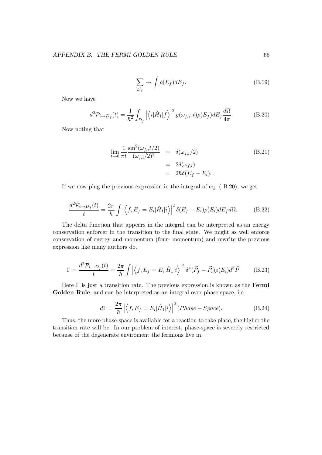$$
\sum_{D_f} \to \int \rho(E_f) dE_f. \tag{B.19}
$$

Now we have

$$
d^2 \mathcal{P}_{i \to D_f}(t) = \frac{1}{\hbar^2} \int_{D_f} \left| \left\langle i|\hat{H}_1|f \right\rangle \right|^2 y(\omega_{f,i}, t) \rho(E_f) dE_f \frac{d\Omega}{4\pi}.
$$
 (B.20)

Now noting that

$$
\lim_{t \to 0} \frac{1}{\pi t} \frac{\sin^2(\omega_{f,i} t/2)}{(\omega_{f,i}/2)^2} = \delta(\omega_{f,i}/2)
$$
\n
$$
= 2\delta(\omega_{f,i})
$$
\n
$$
= 2\hbar \delta(E_f - E_i).
$$
\n(B.21)

If we now plug the previous expression in the integral of eq. ( B.20), we get

$$
\frac{d^2 \mathcal{P}_{i \to D_f}(t)}{t} = \frac{2\pi}{\hbar} \int \left| \left\langle f, E_f = E_i | \hat{H}_1 | i \right\rangle \right|^2 \delta(E_f - E_i) \rho(E_i) dE_f d\Omega. \tag{B.22}
$$

The delta function that appears in the integral can be interpreted as an energy conservation enforcer in the transition to the final state. We might as well enforce conservation of energy and momentum (four- momentum) and rewrite the previous expression like many authors do.

$$
\Gamma = \frac{d^2 \mathcal{P}_{i \to D_f}(t)}{t} = \frac{2\pi}{\hbar} \int \left| \left\langle f, E_f = E_i | \hat{H}_1 | i \right\rangle \right|^2 \delta^4 (\vec{P}_f - \vec{P}_i) \rho(E_i) d^3 \vec{P} \tag{B.23}
$$

Here  $\Gamma$  is just a transition rate. The previous expression is known as the **Fermi** Golden Rule, and can be interpreted as an integral over phase-space, i.e.

$$
d\Gamma = \frac{2\pi}{\hbar} \left| \left\langle f, E_f = E_i | \hat{H}_1 | i \right\rangle \right|^2 (Phase - Space). \tag{B.24}
$$

Thus, the more phase-space is available for a reaction to take place, the higher the transition rate will be. In our problem of interest, phase-space is severely restricted because of the degenerate enviroment the fermions live in.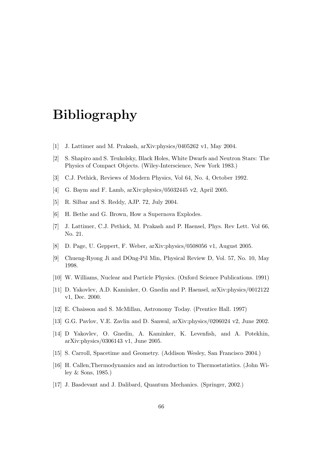# Bibliography

- [1] J. Lattimer and M. Prakash, arXiv:physics/0405262 v1, May 2004.
- [2] S. Shapiro and S. Teukolsky, Black Holes, White Dwarfs and Neutron Stars: The Physics of Compact Objects. (Wiley-Interscience, New York 1983.)
- [3] C.J. Pethick, Reviews of Modern Physics, Vol 64, No. 4, October 1992.
- [4] G. Baym and F. Lamb, arXiv:physics/05032445 v2, April 2005.
- [5] R. Silbar and S. Reddy, AJP. 72, July 2004.
- [6] H. Bethe and G. Brown, How a Supernova Explodes.
- [7] J. Lattimer, C.J. Pethick, M. Prakash and P. Haensel, Phys. Rev Lett. Vol 66, No. 21.
- [8] D. Page, U. Geppert, F. Weber, arXiv:physics/0508056 v1, August 2005.
- [9] Chueng-Ryong Ji and DOng-Pil Min, Physical Review D, Vol. 57, No. 10, May 1998.
- [10] W. Williams, Nuclear and Particle Physics. (Oxford Science Publications. 1991)
- [11] D. Yakovlev, A.D. Kaminker, O. Gnedin and P. Haensel, arXiv:physics/0012122 v1, Dec. 2000.
- [12] E. Chaisson and S. McMillan, Astronomy Today. (Prentice Hall. 1997)
- [13] G.G. Pavlov, V.E. Zavlin and D. Sanwal, arXiv:physics/0206024 v2, June 2002.
- [14] D Yakovlev, O. Gnedin, A. Kaminker, K. Levenfish, and A. Potekhin, arXiv:physics/0306143 v1, June 2005.
- [15] S. Carroll, Spacetime and Geometry. (Addison Wesley, San Francisco 2004.)
- [16] H. Callen, Thermodynamics and an introduction to Thermostatistics. (John Wiley & Sons, 1985.)
- [17] J. Basdevant and J. Dalibard, Quantum Mechanics. (Springer, 2002.)